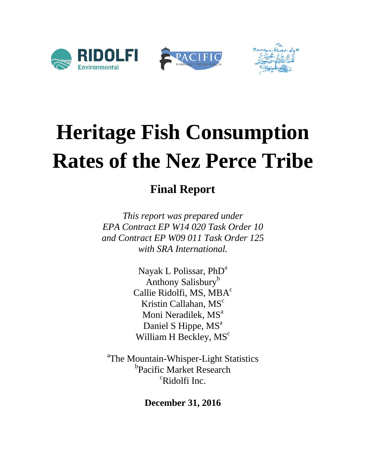

# **Heritage Fish Consumption Rates of the Nez Perce Tribe**

## **Final Report**

*This report was prepared under EPA Contract EP W14 020 Task Order 10 and Contract EP W09 011 Task Order 125 with SRA International.*

> Nayak L Polissar, PhD<sup>a</sup> Anthony Salisbury<sup>b</sup> Callie Ridolfi, MS, MBA<sup>c</sup> Kristin Callahan, MS<sup>c</sup> Moni Neradilek, MS<sup>a</sup> Daniel S Hippe, MS<sup>a</sup> William H Beckley, MS<sup>c</sup>

<sup>a</sup>The Mountain-Whisper-Light Statistics b<sub>Pacific</sub> Market Research <sup>c</sup>Ridolfi Inc.

**December 31, 2016**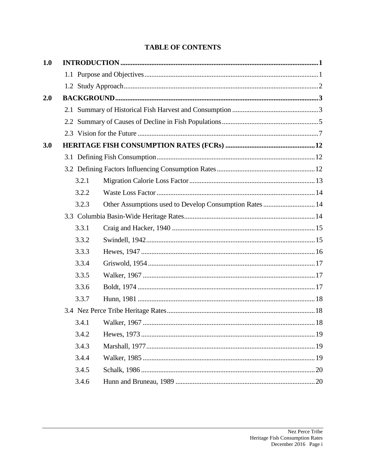## **TABLE OF CONTENTS**

| 1.0 |       |                                                         |  |
|-----|-------|---------------------------------------------------------|--|
|     |       |                                                         |  |
|     |       |                                                         |  |
| 2.0 |       |                                                         |  |
|     |       |                                                         |  |
|     |       |                                                         |  |
|     |       |                                                         |  |
| 3.0 |       |                                                         |  |
|     |       |                                                         |  |
|     |       |                                                         |  |
|     | 3.2.1 |                                                         |  |
|     | 3.2.2 |                                                         |  |
|     | 3.2.3 | Other Assumptions used to Develop Consumption Rates  14 |  |
|     |       |                                                         |  |
|     | 3.3.1 |                                                         |  |
|     | 3.3.2 |                                                         |  |
|     | 3.3.3 |                                                         |  |
|     | 3.3.4 |                                                         |  |
|     | 3.3.5 |                                                         |  |
|     | 3.3.6 |                                                         |  |
|     | 3.3.7 |                                                         |  |
|     |       |                                                         |  |
|     | 3.4.1 |                                                         |  |
|     | 3.4.2 |                                                         |  |
|     | 3.4.3 |                                                         |  |
|     | 3.4.4 |                                                         |  |
|     | 3.4.5 |                                                         |  |
|     | 3.4.6 |                                                         |  |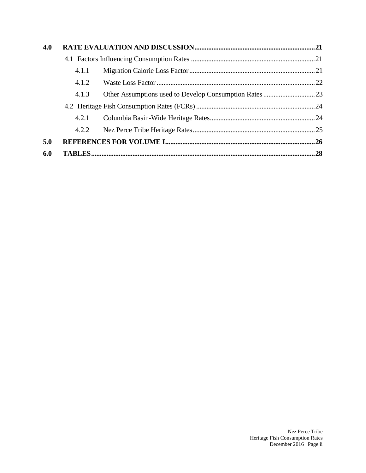| 4.0 |       |  |  |  |  |  |  |
|-----|-------|--|--|--|--|--|--|
|     |       |  |  |  |  |  |  |
|     | 4.1.1 |  |  |  |  |  |  |
|     | 4.1.2 |  |  |  |  |  |  |
|     | 4.1.3 |  |  |  |  |  |  |
|     |       |  |  |  |  |  |  |
|     | 4.2.1 |  |  |  |  |  |  |
|     | 4.2.2 |  |  |  |  |  |  |
| 5.0 |       |  |  |  |  |  |  |
| 6.0 |       |  |  |  |  |  |  |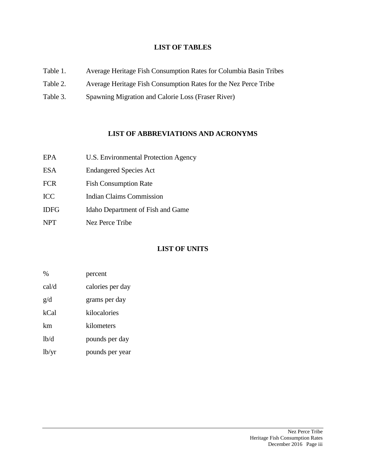#### **LIST OF TABLES**

- Table 1. Average Heritage Fish Consumption Rates for Columbia Basin Tribes
- Table 2. Average Heritage Fish Consumption Rates for the Nez Perce Tribe
- Table 3. Spawning Migration and Calorie Loss (Fraser River)

#### **LIST OF ABBREVIATIONS AND ACRONYMS**

| EPA         | U.S. Environmental Protection Agency |
|-------------|--------------------------------------|
| <b>ESA</b>  | <b>Endangered Species Act</b>        |
| <b>FCR</b>  | <b>Fish Consumption Rate</b>         |
| <b>ICC</b>  | <b>Indian Claims Commission</b>      |
| <b>IDFG</b> | Idaho Department of Fish and Game    |
| <b>NPT</b>  | <b>Nez Perce Tribe</b>               |

## **LIST OF UNITS**

| $\%$  | percent          |
|-------|------------------|
| cal/d | calories per day |
| g/d   | grams per day    |
| kCal  | kilocalories     |
| km    | kilometers       |
| lb/d  | pounds per day   |
| lb/yr | pounds per year  |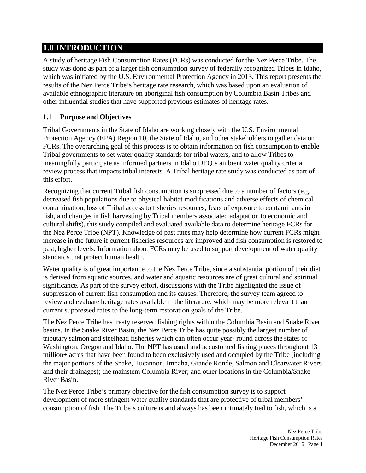## **1.0 INTRODUCTION**

A study of heritage Fish Consumption Rates (FCRs) was conducted for the Nez Perce Tribe. The study was done as part of a larger fish consumption survey of federally recognized Tribes in Idaho, which was initiated by the U.S. Environmental Protection Agency in 2013. This report presents the results of the Nez Perce Tribe's heritage rate research, which was based upon an evaluation of available ethnographic literature on aboriginal fish consumption by Columbia Basin Tribes and other influential studies that have supported previous estimates of heritage rates.

## **1.1 Purpose and Objectives**

Tribal Governments in the State of Idaho are working closely with the U.S. Environmental Protection Agency (EPA) Region 10, the State of Idaho, and other stakeholders to gather data on FCRs. The overarching goal of this process is to obtain information on fish consumption to enable Tribal governments to set water quality standards for tribal waters, and to allow Tribes to meaningfully participate as informed partners in Idaho DEQ's ambient water quality criteria review process that impacts tribal interests. A Tribal heritage rate study was conducted as part of this effort.

Recognizing that current Tribal fish consumption is suppressed due to a number of factors (e.g. decreased fish populations due to physical habitat modifications and adverse effects of chemical contamination, loss of Tribal access to fisheries resources, fears of exposure to contaminants in fish, and changes in fish harvesting by Tribal members associated adaptation to economic and cultural shifts), this study compiled and evaluated available data to determine heritage FCRs for the Nez Perce Tribe (NPT). Knowledge of past rates may help determine how current FCRs might increase in the future if current fisheries resources are improved and fish consumption is restored to past, higher levels. Information about FCRs may be used to support development of water quality standards that protect human health.

Water quality is of great importance to the Nez Perce Tribe, since a substantial portion of their diet is derived from aquatic sources, and water and aquatic resources are of great cultural and spiritual significance. As part of the survey effort, discussions with the Tribe highlighted the issue of suppression of current fish consumption and its causes. Therefore, the survey team agreed to review and evaluate heritage rates available in the literature, which may be more relevant than current suppressed rates to the long-term restoration goals of the Tribe.

The Nez Perce Tribe has treaty reserved fishing rights within the Columbia Basin and Snake River basins. In the Snake River Basin, the Nez Perce Tribe has quite possibly the largest number of tributary salmon and steelhead fisheries which can often occur year- round across the states of Washington, Oregon and Idaho. The NPT has usual and accustomed fishing places throughout 13 million+ acres that have been found to been exclusively used and occupied by the Tribe (including the major portions of the Snake, Tucannon, Imnaha, Grande Ronde, Salmon and Clearwater Rivers and their drainages); the mainstem Columbia River; and other locations in the Columbia/Snake River Basin.

The Nez Perce Tribe's primary objective for the fish consumption survey is to support development of more stringent water quality standards that are protective of tribal members' consumption of fish. The Tribe's culture is and always has been intimately tied to fish, which is a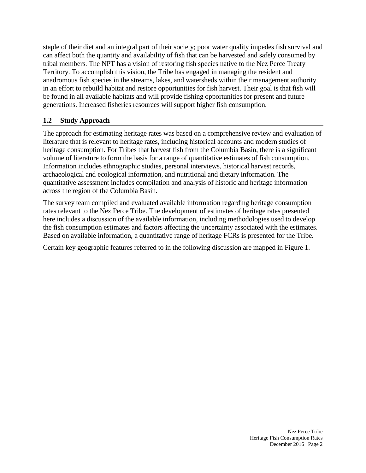staple of their diet and an integral part of their society; poor water quality impedes fish survival and can affect both the quantity and availability of fish that can be harvested and safely consumed by tribal members. The NPT has a vision of restoring fish species native to the Nez Perce Treaty Territory. To accomplish this vision, the Tribe has engaged in managing the resident and anadromous fish species in the streams, lakes, and watersheds within their management authority in an effort to rebuild habitat and restore opportunities for fish harvest. Their goal is that fish will be found in all available habitats and will provide fishing opportunities for present and future generations. Increased fisheries resources will support higher fish consumption.

## **1.2 Study Approach**

The approach for estimating heritage rates was based on a comprehensive review and evaluation of literature that is relevant to heritage rates, including historical accounts and modern studies of heritage consumption. For Tribes that harvest fish from the Columbia Basin, there is a significant volume of literature to form the basis for a range of quantitative estimates of fish consumption. Information includes ethnographic studies, personal interviews, historical harvest records, archaeological and ecological information, and nutritional and dietary information. The quantitative assessment includes compilation and analysis of historic and heritage information across the region of the Columbia Basin.

The survey team compiled and evaluated available information regarding heritage consumption rates relevant to the Nez Perce Tribe. The development of estimates of heritage rates presented here includes a discussion of the available information, including methodologies used to develop the fish consumption estimates and factors affecting the uncertainty associated with the estimates. Based on available information, a quantitative range of heritage FCRs is presented for the Tribe.

Certain key geographic features referred to in the following discussion are mapped in Figure 1.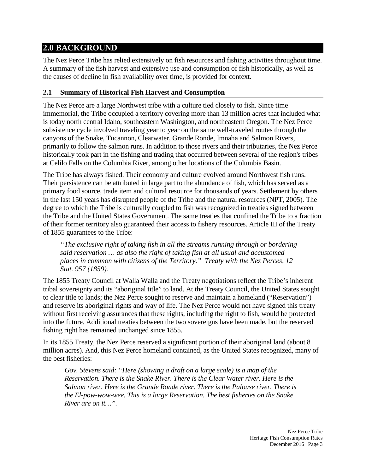## **2.0 BACKGROUND**

The Nez Perce Tribe has relied extensively on fish resources and fishing activities throughout time. A summary of the fish harvest and extensive use and consumption of fish historically, as well as the causes of decline in fish availability over time, is provided for context.

## **2.1 Summary of Historical Fish Harvest and Consumption**

The Nez Perce are a large Northwest tribe with a culture tied closely to fish. Since time immemorial, the Tribe occupied a territory covering more than 13 million acres that included what is today north central Idaho, southeastern Washington, and northeastern Oregon. The Nez Perce subsistence cycle involved traveling year to year on the same well-traveled routes through the canyons of the Snake, Tucannon, Clearwater, Grande Ronde, Imnaha and Salmon Rivers, primarily to follow the salmon runs. In addition to those rivers and their tributaries, the Nez Perce historically took part in the fishing and trading that occurred between several of the region's tribes at Celilo Falls on the Columbia River, among other locations of the Columbia Basin.

The Tribe has always fished. Their economy and culture evolved around Northwest fish runs. Their persistence can be attributed in large part to the abundance of fish, which has served as a primary food source, trade item and cultural resource for thousands of years. Settlement by others in the last 150 years has disrupted people of the Tribe and the natural resources (NPT, 2005). The degree to which the Tribe is culturally coupled to fish was recognized in treaties signed between the Tribe and the United States Government. The same treaties that confined the Tribe to a fraction of their former territory also guaranteed their access to fishery resources. Article III of the Treaty of 1855 guarantees to the Tribe:

*"The exclusive right of taking fish in all the streams running through or bordering said reservation … as also the right of taking fish at all usual and accustomed places in common with citizens of the Territory." Treaty with the Nez Perces, 12 Stat. 957 (1859).*

The 1855 Treaty Council at Walla Walla and the Treaty negotiations reflect the Tribe's inherent tribal sovereignty and its "aboriginal title" to land. At the Treaty Council, the United States sought to clear title to lands; the Nez Perce sought to reserve and maintain a homeland ("Reservation") and reserve its aboriginal rights and way of life. The Nez Perce would not have signed this treaty without first receiving assurances that these rights, including the right to fish, would be protected into the future. Additional treaties between the two sovereigns have been made, but the reserved fishing right has remained unchanged since 1855.

In its 1855 Treaty, the Nez Perce reserved a significant portion of their aboriginal land (about 8 million acres). And, this Nez Perce homeland contained, as the United States recognized, many of the best fisheries:

*Gov. Stevens said: "Here (showing a draft on a large scale) is a map of the Reservation. There is the Snake River. There is the Clear Water river. Here is the Salmon river. Here is the Grande Ronde river. There is the Palouse river. There is the El-pow-wow-wee. This is a large Reservation. The best fisheries on the Snake River are on it…".*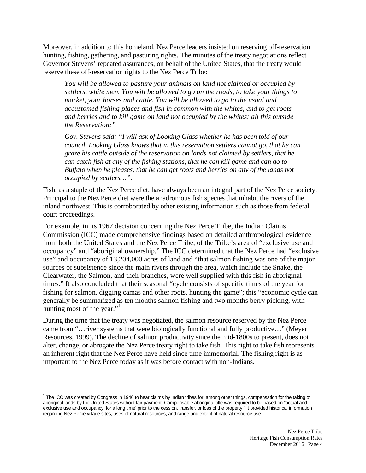Moreover, in addition to this homeland, Nez Perce leaders insisted on reserving off-reservation hunting, fishing, gathering, and pasturing rights. The minutes of the treaty negotiations reflect Governor Stevens' repeated assurances, on behalf of the United States, that the treaty would reserve these off-reservation rights to the Nez Perce Tribe:

*You will be allowed to pasture your animals on land not claimed or occupied by settlers, white men. You will be allowed to go on the roads, to take your things to market, your horses and cattle. You will be allowed to go to the usual and accustomed fishing places and fish in common with the whites, and to get roots and berries and to kill game on land not occupied by the whites; all this outside the Reservation:"*

*Gov. Stevens said: "I will ask of Looking Glass whether he has been told of our council. Looking Glass knows that in this reservation settlers cannot go, that he can graze his cattle outside of the reservation on lands not claimed by settlers, that he can catch fish at any of the fishing stations, that he can kill game and can go to Buffalo when he pleases, that he can get roots and berries on any of the lands not occupied by settlers…".*

Fish, as a staple of the Nez Perce diet, have always been an integral part of the Nez Perce society. Principal to the Nez Perce diet were the anadromous fish species that inhabit the rivers of the inland northwest. This is corroborated by other existing information such as those from federal court proceedings.

For example, in its 1967 decision concerning the Nez Perce Tribe, the Indian Claims Commission (ICC) made comprehensive findings based on detailed anthropological evidence from both the United States and the Nez Perce Tribe, of the Tribe's area of "exclusive use and occupancy" and "aboriginal ownership." The ICC determined that the Nez Perce had "exclusive use" and occupancy of 13,204,000 acres of land and "that salmon fishing was one of the major sources of subsistence since the main rivers through the area, which include the Snake, the Clearwater, the Salmon, and their branches, were well supplied with this fish in aboriginal times." It also concluded that their seasonal "cycle consists of specific times of the year for fishing for salmon, digging camas and other roots, hunting the game"; this "economic cycle can generally be summarized as ten months salmon fishing and two months berry picking, with hunting most of the year." $\cdot$ 

During the time that the treaty was negotiated, the salmon resource reserved by the Nez Perce came from "…river systems that were biologically functional and fully productive…" (Meyer Resources, 1999). The decline of salmon productivity since the mid-1800s to present, does not alter, change, or abrogate the Nez Perce treaty right to take fish. This right to take fish represents an inherent right that the Nez Perce have held since time immemorial. The fishing right is as important to the Nez Perce today as it was before contact with non-Indians.

 $\overline{a}$ 

<span id="page-7-0"></span><sup>&</sup>lt;sup>1</sup> The ICC was created by Congress in 1946 to hear claims by Indian tribes for, among other things, compensation for the taking of aboriginal lands by the United States without fair payment. Compensable aboriginal title was required to be based on "actual and exclusive use and occupancy 'for a long time' prior to the cession, transfer, or loss of the property." It provided historical information regarding Nez Perce village sites, uses of natural resources, and range and extent of natural resource use.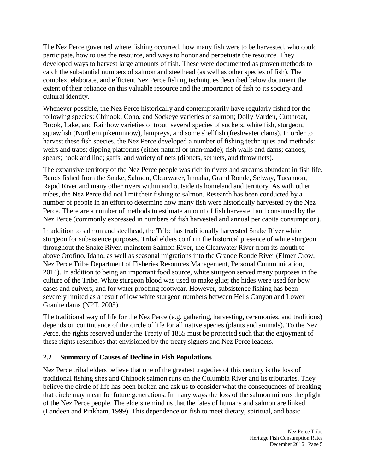The Nez Perce governed where fishing occurred, how many fish were to be harvested, who could participate, how to use the resource, and ways to honor and perpetuate the resource. They developed ways to harvest large amounts of fish. These were documented as proven methods to catch the substantial numbers of salmon and steelhead (as well as other species of fish). The complex, elaborate, and efficient Nez Perce fishing techniques described below document the extent of their reliance on this valuable resource and the importance of fish to its society and cultural identity.

Whenever possible, the Nez Perce historically and contemporarily have regularly fished for the following species: Chinook, Coho, and Sockeye varieties of salmon; Dolly Varden, Cutthroat, Brook, Lake, and Rainbow varieties of trout; several species of suckers, white fish, sturgeon, squawfish (Northern pikeminnow), lampreys, and some shellfish (freshwater clams). In order to harvest these fish species, the Nez Perce developed a number of fishing techniques and methods: weirs and traps; dipping platforms (either natural or man-made); fish walls and dams; canoes; spears; hook and line; gaffs; and variety of nets (dipnets, set nets, and throw nets).

The expansive territory of the Nez Perce people was rich in rivers and streams abundant in fish life. Bands fished from the Snake, Salmon, Clearwater, Imnaha, Grand Ronde, Selway, Tucannon, Rapid River and many other rivers within and outside its homeland and territory. As with other tribes, the Nez Perce did not limit their fishing to salmon. Research has been conducted by a number of people in an effort to determine how many fish were historically harvested by the Nez Perce. There are a number of methods to estimate amount of fish harvested and consumed by the Nez Perce (commonly expressed in numbers of fish harvested and annual per capita consumption).

In addition to salmon and steelhead, the Tribe has traditionally harvested Snake River white sturgeon for subsistence purposes. Tribal elders confirm the historical presence of white sturgeon throughout the Snake River, mainstem Salmon River, the Clearwater River from its mouth to above Orofino, Idaho, as well as seasonal migrations into the Grande Ronde River (Elmer Crow, Nez Perce Tribe Department of Fisheries Resources Management, Personal Communication, 2014). In addition to being an important food source, white sturgeon served many purposes in the culture of the Tribe. White sturgeon blood was used to make glue; the hides were used for bow cases and quivers, and for water proofing footwear. However, subsistence fishing has been severely limited as a result of low white sturgeon numbers between Hells Canyon and Lower Granite dams (NPT, 2005).

The traditional way of life for the Nez Perce (e.g. gathering, harvesting, ceremonies, and traditions) depends on continuance of the circle of life for all native species (plants and animals). To the Nez Perce, the rights reserved under the Treaty of 1855 must be protected such that the enjoyment of these rights resembles that envisioned by the treaty signers and Nez Perce leaders.

#### **2.2 Summary of Causes of Decline in Fish Populations**

Nez Perce tribal elders believe that one of the greatest tragedies of this century is the loss of traditional fishing sites and Chinook salmon runs on the Columbia River and its tributaries. They believe the circle of life has been broken and ask us to consider what the consequences of breaking that circle may mean for future generations. In many ways the loss of the salmon mirrors the plight of the Nez Perce people. The elders remind us that the fates of humans and salmon are linked (Landeen and Pinkham, 1999). This dependence on fish to meet dietary, spiritual, and basic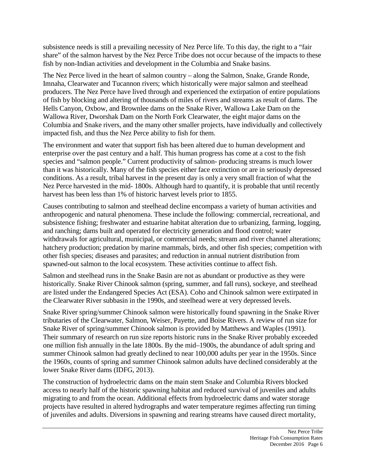subsistence needs is still a prevailing necessity of Nez Perce life. To this day, the right to a "fair share" of the salmon harvest by the Nez Perce Tribe does not occur because of the impacts to these fish by non-Indian activities and development in the Columbia and Snake basins.

The Nez Perce lived in the heart of salmon country – along the Salmon, Snake, Grande Ronde, Imnaha, Clearwater and Tucannon rivers; which historically were major salmon and steelhead producers. The Nez Perce have lived through and experienced the extirpation of entire populations of fish by blocking and altering of thousands of miles of rivers and streams as result of dams. The Hells Canyon, Oxbow, and Brownlee dams on the Snake River, Wallowa Lake Dam on the Wallowa River, Dworshak Dam on the North Fork Clearwater, the eight major dams on the Columbia and Snake rivers, and the many other smaller projects, have individually and collectively impacted fish, and thus the Nez Perce ability to fish for them.

The environment and water that support fish has been altered due to human development and enterprise over the past century and a half. This human progress has come at a cost to the fish species and "salmon people." Current productivity of salmon- producing streams is much lower than it was historically. Many of the fish species either face extinction or are in seriously depressed conditions. As a result, tribal harvest in the present day is only a very small fraction of what the Nez Perce harvested in the mid- 1800s. Although hard to quantify, it is probable that until recently harvest has been less than 1% of historic harvest levels prior to 1855.

Causes contributing to salmon and steelhead decline encompass a variety of human activities and anthropogenic and natural phenomena. These include the following: commercial, recreational, and subsistence fishing; freshwater and estuarine habitat alteration due to urbanizing, farming, logging, and ranching; dams built and operated for electricity generation and flood control; water withdrawals for agricultural, municipal, or commercial needs; stream and river channel alterations; hatchery production; predation by marine mammals, birds, and other fish species; competition with other fish species; diseases and parasites; and reduction in annual nutrient distribution from spawned-out salmon to the local ecosystem. These activities continue to affect fish.

Salmon and steelhead runs in the Snake Basin are not as abundant or productive as they were historically. Snake River Chinook salmon (spring, summer, and fall runs), sockeye, and steelhead are listed under the Endangered Species Act (ESA). Coho and Chinook salmon were extirpated in the Clearwater River subbasin in the 1990s, and steelhead were at very depressed levels.

Snake River spring/summer Chinook salmon were historically found spawning in the Snake River tributaries of the Clearwater, Salmon, Weiser, Payette, and Boise Rivers. A review of run size for Snake River of spring/summer Chinook salmon is provided by Matthews and Waples (1991). Their summary of research on run size reports historic runs in the Snake River probably exceeded one million fish annually in the late 1800s. By the mid–1900s, the abundance of adult spring and summer Chinook salmon had greatly declined to near 100,000 adults per year in the 1950s. Since the 1960s, counts of spring and summer Chinook salmon adults have declined considerably at the lower Snake River dams (IDFG, 2013).

The construction of hydroelectric dams on the main stem Snake and Columbia Rivers blocked access to nearly half of the historic spawning habitat and reduced survival of juveniles and adults migrating to and from the ocean. Additional effects from hydroelectric dams and water storage projects have resulted in altered hydrographs and water temperature regimes affecting run timing of juveniles and adults. Diversions in spawning and rearing streams have caused direct mortality,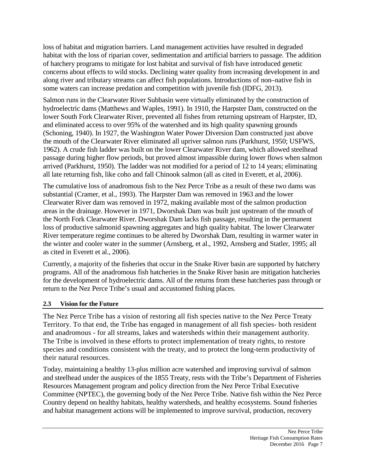loss of habitat and migration barriers. Land management activities have resulted in degraded habitat with the loss of riparian cover, sedimentation and artificial barriers to passage. The addition of hatchery programs to mitigate for lost habitat and survival of fish have introduced genetic concerns about effects to wild stocks. Declining water quality from increasing development in and along river and tributary streams can affect fish populations. Introductions of non–native fish in some waters can increase predation and competition with juvenile fish (IDFG, 2013).

Salmon runs in the Clearwater River Subbasin were virtually eliminated by the construction of hydroelectric dams (Matthews and Waples, 1991). In 1910, the Harpster Dam, constructed on the lower South Fork Clearwater River, prevented all fishes from returning upstream of Harpster, ID, and eliminated access to over 95% of the watershed and its high quality spawning grounds (Schoning, 1940). In 1927, the Washington Water Power Diversion Dam constructed just above the mouth of the Clearwater River eliminated all upriver salmon runs (Parkhurst, 1950; USFWS, 1962). A crude fish ladder was built on the lower Clearwater River dam, which allowed steelhead passage during higher flow periods, but proved almost impassible during lower flows when salmon arrived (Parkhurst, 1950). The ladder was not modified for a period of 12 to 14 years; eliminating all late returning fish, like coho and fall Chinook salmon (all as cited in Everett, et al, 2006).

The cumulative loss of anadromous fish to the Nez Perce Tribe as a result of these two dams was substantial (Cramer, et al., 1993). The Harpster Dam was removed in 1963 and the lower Clearwater River dam was removed in 1972, making available most of the salmon production areas in the drainage. However in 1971, Dworshak Dam was built just upstream of the mouth of the North Fork Clearwater River. Dworshak Dam lacks fish passage, resulting in the permanent loss of productive salmonid spawning aggregates and high quality habitat. The lower Clearwater River temperature regime continues to be altered by Dworshak Dam, resulting in warmer water in the winter and cooler water in the summer (Arnsberg, et al., 1992, Arnsberg and Statler, 1995; all as cited in Everett et al., 2006).

Currently, a majority of the fisheries that occur in the Snake River basin are supported by hatchery programs. All of the anadromous fish hatcheries in the Snake River basin are mitigation hatcheries for the development of hydroelectric dams. All of the returns from these hatcheries pass through or return to the Nez Perce Tribe's usual and accustomed fishing places.

#### **2.3 Vision for the Future**

The Nez Perce Tribe has a vision of restoring all fish species native to the Nez Perce Treaty Territory. To that end, the Tribe has engaged in management of all fish species- both resident and anadromous - for all streams, lakes and watersheds within their management authority. The Tribe is involved in these efforts to protect implementation of treaty rights, to restore species and conditions consistent with the treaty, and to protect the long-term productivity of their natural resources.

Today, maintaining a healthy 13-plus million acre watershed and improving survival of salmon and steelhead under the auspices of the 1855 Treaty, rests with the Tribe's Department of Fisheries Resources Management program and policy direction from the Nez Perce Tribal Executive Committee (NPTEC), the governing body of the Nez Perce Tribe. Native fish within the Nez Perce Country depend on healthy habitats, healthy watersheds, and healthy ecosystems. Sound fisheries and habitat management actions will be implemented to improve survival, production, recovery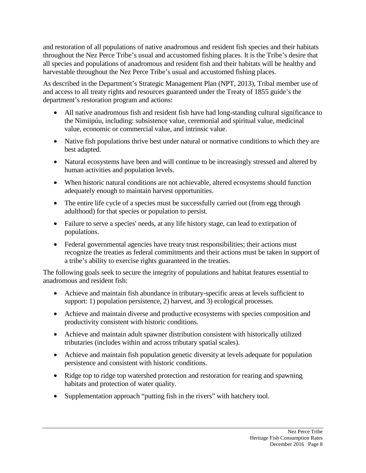and restoration of all populations of native anadromous and resident fish species and their habitats throughout the Nez Perce Tribe's usual and accustomed fishing places. It is the Tribe's desire that all species and populations of anadromous and resident fish and their habitats will be healthy and harvestable throughout the Nez Perce Tribe's usual and accustomed fishing places.

As described in the Department's Strategic Management Plan (NPT, 2013), Tribal member use of and access to all treaty rights and resources guaranteed under the Treaty of 1855 guide's the department's restoration program and actions:

- All native anadromous fish and resident fish have had long-standing cultural significance to the Nimiipúu, including: subsistence value, ceremonial and spiritual value, medicinal value, economic or commercial value, and intrinsic value.
- Native fish populations thrive best under natural or normative conditions to which they are best adapted.
- Natural ecosystems have been and will continue to be increasingly stressed and altered by human activities and population levels.
- When historic natural conditions are not achievable, altered ecosystems should function adequately enough to maintain harvest opportunities.
- The entire life cycle of a species must be successfully carried out (from egg through adulthood) for that species or population to persist.
- Failure to serve a species' needs, at any life history stage, can lead to extirpation of populations.
- Federal governmental agencies have treaty trust responsibilities; their actions must recognize the treaties as federal commitments and their actions must be taken in support of a tribe's ability to exercise rights guaranteed in the treaties.

The following goals seek to secure the integrity of populations and habitat features essential to anadromous and resident fish:

- Achieve and maintain fish abundance in tributary-specific areas at levels sufficient to support: 1) population persistence, 2) harvest, and 3) ecological processes.
- Achieve and maintain diverse and productive ecosystems with species composition and productivity consistent with historic conditions.
- Achieve and maintain adult spawner distribution consistent with historically utilized tributaries (includes within and across tributary spatial scales).
- Achieve and maintain fish population genetic diversity at levels adequate for population persistence and consistent with historic conditions.
- Ridge top to ridge top watershed protection and restoration for rearing and spawning habitats and protection of water quality.
- Supplementation approach "putting fish in the rivers" with hatchery tool.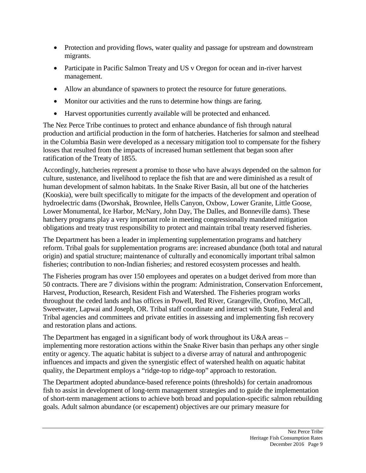- Protection and providing flows, water quality and passage for upstream and downstream migrants.
- Participate in Pacific Salmon Treaty and US v Oregon for ocean and in-river harvest management.
- Allow an abundance of spawners to protect the resource for future generations.
- Monitor our activities and the runs to determine how things are faring.
- Harvest opportunities currently available will be protected and enhanced.

The Nez Perce Tribe continues to protect and enhance abundance of fish through natural production and artificial production in the form of hatcheries. Hatcheries for salmon and steelhead in the Columbia Basin were developed as a necessary mitigation tool to compensate for the fishery losses that resulted from the impacts of increased human settlement that began soon after ratification of the Treaty of 1855.

Accordingly, hatcheries represent a promise to those who have always depended on the salmon for culture, sustenance, and livelihood to replace the fish that are and were diminished as a result of human development of salmon habitats. In the Snake River Basin, all but one of the hatcheries (Kooskia), were built specifically to mitigate for the impacts of the development and operation of hydroelectric dams (Dworshak, Brownlee, Hells Canyon, Oxbow, Lower Granite, Little Goose, Lower Monumental, Ice Harbor, McNary, John Day, The Dalles, and Bonneville dams). These hatchery programs play a very important role in meeting congressionally mandated mitigation obligations and treaty trust responsibility to protect and maintain tribal treaty reserved fisheries.

The Department has been a leader in implementing supplementation programs and hatchery reform. Tribal goals for supplementation programs are: increased abundance (both total and natural origin) and spatial structure; maintenance of culturally and economically important tribal salmon fisheries; contribution to non-Indian fisheries; and restored ecosystem processes and health.

The Fisheries program has over 150 employees and operates on a budget derived from more than 50 contracts. There are 7 divisions within the program: Administration, Conservation Enforcement, Harvest, Production, Research, Resident Fish and Watershed. The Fisheries program works throughout the ceded lands and has offices in Powell, Red River, Grangeville, Orofino, McCall, Sweetwater, Lapwai and Joseph, OR. Tribal staff coordinate and interact with State, Federal and Tribal agencies and committees and private entities in assessing and implementing fish recovery and restoration plans and actions.

The Department has engaged in a significant body of work throughout its U&A areas – implementing more restoration actions within the Snake River basin than perhaps any other single entity or agency. The aquatic habitat is subject to a diverse array of natural and anthropogenic influences and impacts and given the synergistic effect of watershed health on aquatic habitat quality, the Department employs a "ridge-top to ridge-top" approach to restoration.

The Department adopted abundance-based reference points (thresholds) for certain anadromous fish to assist in development of long-term management strategies and to guide the implementation of short-term management actions to achieve both broad and population-specific salmon rebuilding goals. Adult salmon abundance (or escapement) objectives are our primary measure for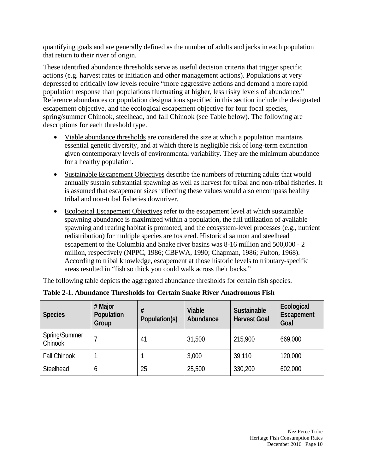quantifying goals and are generally defined as the number of adults and jacks in each population that return to their river of origin.

These identified abundance thresholds serve as useful decision criteria that trigger specific actions (e.g. harvest rates or initiation and other management actions). Populations at very depressed to critically low levels require "more aggressive actions and demand a more rapid population response than populations fluctuating at higher, less risky levels of abundance." Reference abundances or population designations specified in this section include the designated escapement objective, and the ecological escapement objective for four focal species, spring/summer Chinook, steelhead, and fall Chinook (see Table below). The following are descriptions for each threshold type.

- Viable abundance thresholds are considered the size at which a population maintains essential genetic diversity, and at which there is negligible risk of long-term extinction given contemporary levels of environmental variability. They are the minimum abundance for a healthy population.
- Sustainable Escapement Objectives describe the numbers of returning adults that would annually sustain substantial spawning as well as harvest for tribal and non-tribal fisheries. It is assumed that escapement sizes reflecting these values would also encompass healthy tribal and non-tribal fisheries downriver.
- Ecological Escapement Objectives refer to the escapement level at which sustainable spawning abundance is maximized within a population, the full utilization of available spawning and rearing habitat is promoted, and the ecosystem-level processes (e.g., nutrient redistribution) for multiple species are fostered. Historical salmon and steelhead escapement to the Columbia and Snake river basins was 8-16 million and 500,000 - 2 million, respectively (NPPC, 1986; CBFWA, 1990; Chapman, 1986; Fulton, 1968). According to tribal knowledge, escapement at those historic levels to tributary-specific areas resulted in "fish so thick you could walk across their backs."

The following table depicts the aggregated abundance thresholds for certain fish species.

| <b>Species</b>           | # Major<br>Population<br>Group | #<br>Population(s) | Viable<br>Abundance | <b>Sustainable</b><br><b>Harvest Goal</b> | Ecological<br>Escapement<br>Goal |
|--------------------------|--------------------------------|--------------------|---------------------|-------------------------------------------|----------------------------------|
| Spring/Summer<br>Chinook |                                | 41                 | 31,500              | 215,900                                   | 669,000                          |
| <b>Fall Chinook</b>      |                                |                    | 3,000               | 39,110                                    | 120,000                          |
| Steelhead                | O                              | 25                 | 25,500              | 330,200                                   | 602,000                          |

#### **Table 2-1. Abundance Thresholds for Certain Snake River Anadromous Fish**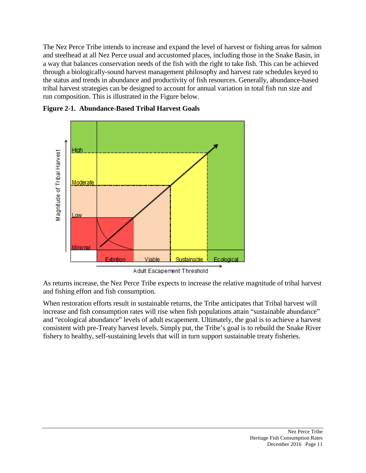The Nez Perce Tribe intends to increase and expand the level of harvest or fishing areas for salmon and steelhead at all Nez Perce usual and accustomed places, including those in the Snake Basin, in a way that balances conservation needs of the fish with the right to take fish. This can be achieved through a biologically-sound harvest management philosophy and harvest rate schedules keyed to the status and trends in abundance and productivity of fish resources. Generally, abundance-based tribal harvest strategies can be designed to account for annual variation in total fish run size and run composition. This is illustrated in the Figure below.



**Figure 2-1. Abundance-Based Tribal Harvest Goals**

As returns increase, the Nez Perce Tribe expects to increase the relative magnitude of tribal harvest and fishing effort and fish consumption.

When restoration efforts result in sustainable returns, the Tribe anticipates that Tribal harvest will increase and fish consumption rates will rise when fish populations attain "sustainable abundance" and "ecological abundance" levels of adult escapement. Ultimately, the goal is to achieve a harvest consistent with pre-Treaty harvest levels. Simply put, the Tribe's goal is to rebuild the Snake River fishery to healthy, self-sustaining levels that will in turn support sustainable treaty fisheries.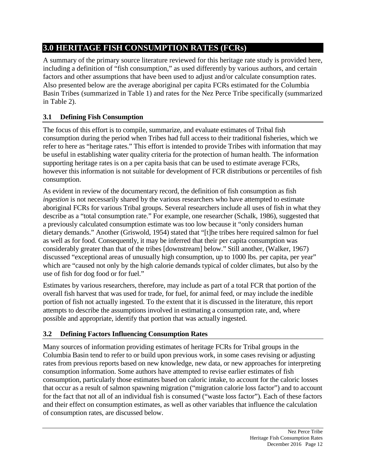## **3.0 HERITAGE FISH CONSUMPTION RATES (FCRs)**

A summary of the primary source literature reviewed for this heritage rate study is provided here, including a definition of "fish consumption," as used differently by various authors, and certain factors and other assumptions that have been used to adjust and/or calculate consumption rates. Also presented below are the average aboriginal per capita FCRs estimated for the Columbia Basin Tribes (summarized in Table 1) and rates for the Nez Perce Tribe specifically (summarized in Table 2).

## **3.1 Defining Fish Consumption**

The focus of this effort is to compile, summarize, and evaluate estimates of Tribal fish consumption during the period when Tribes had full access to their traditional fisheries, which we refer to here as "heritage rates." This effort is intended to provide Tribes with information that may be useful in establishing water quality criteria for the protection of human health. The information supporting heritage rates is on a per capita basis that can be used to estimate average FCRs, however this information is not suitable for development of FCR distributions or percentiles of fish consumption.

As evident in review of the documentary record, the definition of fish consumption as fish *ingestion* is not necessarily shared by the various researchers who have attempted to estimate aboriginal FCRs for various Tribal groups. Several researchers include all uses of fish in what they describe as a "total consumption rate." For example, one researcher (Schalk, 1986), suggested that a previously calculated consumption estimate was too low because it "only considers human dietary demands." Another (Griswold, 1954) stated that "[t]he tribes here required salmon for fuel as well as for food. Consequently, it may be inferred that their per capita consumption was considerably greater than that of the tribes [downstream] below." Still another, (Walker, 1967) discussed "exceptional areas of unusually high consumption, up to 1000 lbs. per capita, per year" which are "caused not only by the high calorie demands typical of colder climates, but also by the use of fish for dog food or for fuel."

Estimates by various researchers, therefore, may include as part of a total FCR that portion of the overall fish harvest that was used for trade, for fuel, for animal feed, or may include the inedible portion of fish not actually ingested. To the extent that it is discussed in the literature, this report attempts to describe the assumptions involved in estimating a consumption rate, and, where possible and appropriate, identify that portion that was actually ingested.

## **3.2 Defining Factors Influencing Consumption Rates**

Many sources of information providing estimates of heritage FCRs for Tribal groups in the Columbia Basin tend to refer to or build upon previous work, in some cases revising or adjusting rates from previous reports based on new knowledge, new data, or new approaches for interpreting consumption information. Some authors have attempted to revise earlier estimates of fish consumption, particularly those estimates based on caloric intake, to account for the caloric losses that occur as a result of salmon spawning migration ("migration calorie loss factor") and to account for the fact that not all of an individual fish is consumed ("waste loss factor"). Each of these factors and their effect on consumption estimates, as well as other variables that influence the calculation of consumption rates, are discussed below.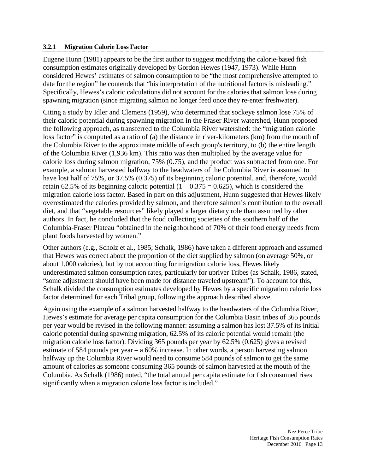#### **3.2.1 Migration Calorie Loss Factor**

Eugene Hunn (1981) appears to be the first author to suggest modifying the calorie-based fish consumption estimates originally developed by Gordon Hewes (1947, 1973). While Hunn considered Hewes' estimates of salmon consumption to be "the most comprehensive attempted to date for the region" he contends that "his interpretation of the nutritional factors is misleading." Specifically, Hewes's caloric calculations did not account for the calories that salmon lose during spawning migration (since migrating salmon no longer feed once they re-enter freshwater).

Citing a study by Idler and Clemens (1959), who determined that sockeye salmon lose 75% of their caloric potential during spawning migration in the Fraser River watershed, Hunn proposed the following approach, as transferred to the Columbia River watershed: the "migration calorie loss factor" is computed as a ratio of (a) the distance in river-kilometers (km) from the mouth of the Columbia River to the approximate middle of each group's territory, to (b) the entire length of the Columbia River (1,936 km). This ratio was then multiplied by the average value for calorie loss during salmon migration, 75% (0.75), and the product was subtracted from one. For example, a salmon harvested halfway to the headwaters of the Columbia River is assumed to have lost half of 75%, or 37.5% (0.375) of its beginning caloric potential, and, therefore, would retain 62.5% of its beginning caloric potential  $(1 - 0.375 = 0.625)$ , which is considered the migration calorie loss factor. Based in part on this adjustment, Hunn suggested that Hewes likely overestimated the calories provided by salmon, and therefore salmon's contribution to the overall diet, and that "vegetable resources" likely played a larger dietary role than assumed by other authors. In fact, he concluded that the food collecting societies of the southern half of the Columbia-Fraser Plateau "obtained in the neighborhood of 70% of their food energy needs from plant foods harvested by women."

Other authors (e.g., Scholz et al., 1985; Schalk, 1986) have taken a different approach and assumed that Hewes was correct about the proportion of the diet supplied by salmon (on average 50%, or about 1,000 calories), but by not accounting for migration calorie loss, Hewes likely underestimated salmon consumption rates, particularly for upriver Tribes (as Schalk, 1986, stated, "some adjustment should have been made for distance traveled upstream"). To account for this, Schalk divided the consumption estimates developed by Hewes by a specific migration calorie loss factor determined for each Tribal group, following the approach described above.

Again using the example of a salmon harvested halfway to the headwaters of the Columbia River, Hewes's estimate for average per capita consumption for the Columbia Basin tribes of 365 pounds per year would be revised in the following manner: assuming a salmon has lost 37.5% of its initial caloric potential during spawning migration, 62.5% of its caloric potential would remain (the migration calorie loss factor). Dividing 365 pounds per year by 62.5% (0.625) gives a revised estimate of 584 pounds per year – a 60% increase. In other words, a person harvesting salmon halfway up the Columbia River would need to consume 584 pounds of salmon to get the same amount of calories as someone consuming 365 pounds of salmon harvested at the mouth of the Columbia. As Schalk (1986) noted, "the total annual per capita estimate for fish consumed rises significantly when a migration calorie loss factor is included."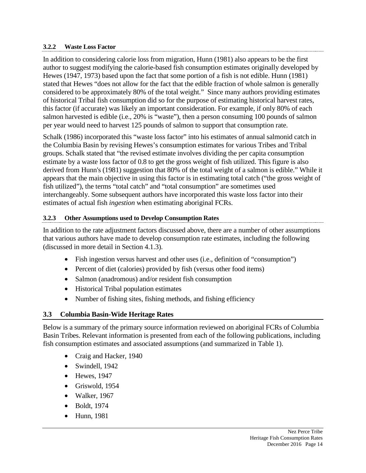#### **3.2.2 Waste Loss Factor**

In addition to considering calorie loss from migration, Hunn (1981) also appears to be the first author to suggest modifying the calorie-based fish consumption estimates originally developed by Hewes (1947, 1973) based upon the fact that some portion of a fish is not edible. Hunn (1981) stated that Hewes "does not allow for the fact that the edible fraction of whole salmon is generally considered to be approximately 80% of the total weight." Since many authors providing estimates of historical Tribal fish consumption did so for the purpose of estimating historical harvest rates, this factor (if accurate) was likely an important consideration. For example, if only 80% of each salmon harvested is edible (i.e., 20% is "waste"), then a person consuming 100 pounds of salmon per year would need to harvest 125 pounds of salmon to support that consumption rate.

Schalk (1986) incorporated this "waste loss factor" into his estimates of annual salmonid catch in the Columbia Basin by revising Hewes's consumption estimates for various Tribes and Tribal groups. Schalk stated that "the revised estimate involves dividing the per capita consumption estimate by a waste loss factor of 0.8 to get the gross weight of fish utilized. This figure is also derived from Hunn's (1981) suggestion that 80% of the total weight of a salmon is edible." While it appears that the main objective in using this factor is in estimating total catch ("the gross weight of fish utilized"), the terms "total catch" and "total consumption" are sometimes used interchangeably. Some subsequent authors have incorporated this waste loss factor into their estimates of actual fish *ingestion* when estimating aboriginal FCRs.

#### **3.2.3 Other Assumptions used to Develop Consumption Rates**

In addition to the rate adjustment factors discussed above, there are a number of other assumptions that various authors have made to develop consumption rate estimates, including the following (discussed in more detail in Section 4.1.3).

- Fish ingestion versus harvest and other uses (i.e., definition of "consumption")
- Percent of diet (calories) provided by fish (versus other food items)
- Salmon (anadromous) and/or resident fish consumption
- Historical Tribal population estimates
- Number of fishing sites, fishing methods, and fishing efficiency

#### **3.3 Columbia Basin-Wide Heritage Rates**

Below is a summary of the primary source information reviewed on aboriginal FCRs of Columbia Basin Tribes. Relevant information is presented from each of the following publications, including fish consumption estimates and associated assumptions (and summarized in Table 1).

- Craig and Hacker, 1940
- Swindell, 1942
- Hewes, 1947
- Griswold, 1954
- Walker, 1967
- Boldt, 1974
- Hunn, 1981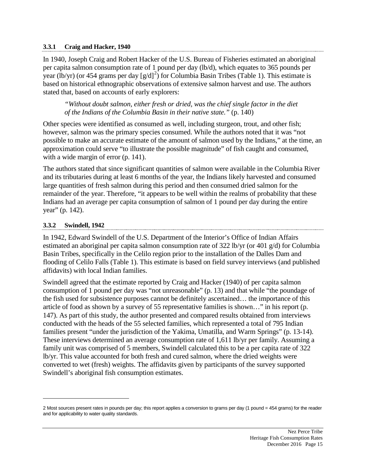#### **3.3.1 Craig and Hacker, 1940**

In 1940, Joseph Craig and Robert Hacker of the U.S. Bureau of Fisheries estimated an aboriginal per capita salmon consumption rate of 1 pound per day (lb/d), which equates to 365 pounds per year (lb/yr) (or 454 grams per day  $[g/d]^2$  $[g/d]^2$ ) for Columbia Basin Tribes (Table 1). This estimate is based on historical ethnographic observations of extensive salmon harvest and use. The authors stated that, based on accounts of early explorers:

*"Without doubt salmon, either fresh or dried, was the chief single factor in the diet of the Indians of the Columbia Basin in their native state."* (p. 140)

Other species were identified as consumed as well, including sturgeon, trout, and other fish; however, salmon was the primary species consumed. While the authors noted that it was "not possible to make an accurate estimate of the amount of salmon used by the Indians," at the time, an approximation could serve "to illustrate the possible magnitude" of fish caught and consumed, with a wide margin of error (p. 141).

The authors stated that since significant quantities of salmon were available in the Columbia River and its tributaries during at least 6 months of the year, the Indians likely harvested and consumed large quantities of fresh salmon during this period and then consumed dried salmon for the remainder of the year. Therefore, "it appears to be well within the realms of probability that these Indians had an average per capita consumption of salmon of 1 pound per day during the entire year" (p. 142).

#### **3.3.2 Swindell, 1942**

 $\overline{a}$ 

In 1942, Edward Swindell of the U.S. Department of the Interior's Office of Indian Affairs estimated an aboriginal per capita salmon consumption rate of 322 lb/yr (or 401 g/d) for Columbia Basin Tribes, specifically in the Celilo region prior to the installation of the Dalles Dam and flooding of Celilo Falls (Table 1). This estimate is based on field survey interviews (and published affidavits) with local Indian families.

Swindell agreed that the estimate reported by Craig and Hacker (1940) of per capita salmon consumption of 1 pound per day was "not unreasonable" (p. 13) and that while "the poundage of the fish used for subsistence purposes cannot be definitely ascertained… the importance of this article of food as shown by a survey of 55 representative families is shown…" in his report (p. 147). As part of this study, the author presented and compared results obtained from interviews conducted with the heads of the 55 selected families, which represented a total of 795 Indian families present "under the jurisdiction of the Yakima, Umatilla, and Warm Springs" (p. 13-14). These interviews determined an average consumption rate of 1,611 lb/yr per family. Assuming a family unit was comprised of 5 members, Swindell calculated this to be a per capita rate of 322 lb/yr. This value accounted for both fresh and cured salmon, where the dried weights were converted to wet (fresh) weights. The affidavits given by participants of the survey supported Swindell's aboriginal fish consumption estimates.

<span id="page-18-0"></span><sup>2</sup> Most sources present rates in pounds per day; this report applies a conversion to grams per day (1 pound = 454 grams) for the reader and for applicability to water quality standards.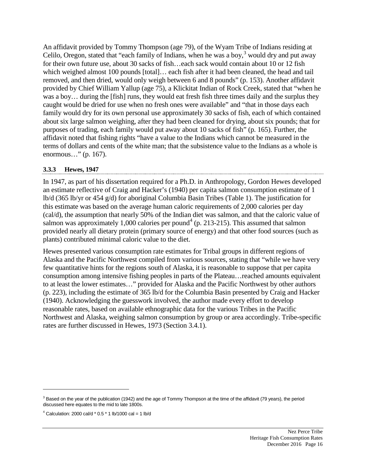An affidavit provided by Tommy Thompson (age 79), of the Wyam Tribe of Indians residing at Celilo, Oregon, stated that "each family of Indians, when he was a boy,  $3$  would dry and put away for their own future use, about 30 sacks of fish…each sack would contain about 10 or 12 fish which weighed almost 100 pounds [total]… each fish after it had been cleaned, the head and tail removed, and then dried, would only weigh between 6 and 8 pounds" (p. 153). Another affidavit provided by Chief William Yallup (age 75), a Klickitat Indian of Rock Creek, stated that "when he was a boy… during the [fish] runs, they would eat fresh fish three times daily and the surplus they caught would be dried for use when no fresh ones were available" and "that in those days each family would dry for its own personal use approximately 30 sacks of fish, each of which contained about six large salmon weighing, after they had been cleaned for drying, about six pounds; that for purposes of trading, each family would put away about 10 sacks of fish" (p. 165). Further, the affidavit noted that fishing rights "have a value to the Indians which cannot be measured in the terms of dollars and cents of the white man; that the subsistence value to the Indians as a whole is enormous…" (p. 167).

#### **3.3.3 Hewes, 1947**

In 1947, as part of his dissertation required for a Ph.D. in Anthropology, Gordon Hewes developed an estimate reflective of Craig and Hacker's (1940) per capita salmon consumption estimate of 1 lb/d (365 lb/yr or 454 g/d) for aboriginal Columbia Basin Tribes (Table 1). The justification for this estimate was based on the average human caloric requirements of 2,000 calories per day (cal/d), the assumption that nearly 50% of the Indian diet was salmon, and that the caloric value of salmon was approximately 1,000 calories per pound<sup>[4](#page-19-1)</sup> (p. 213-215). This assumed that salmon provided nearly all dietary protein (primary source of energy) and that other food sources (such as plants) contributed minimal caloric value to the diet.

Hewes presented various consumption rate estimates for Tribal groups in different regions of Alaska and the Pacific Northwest compiled from various sources, stating that "while we have very few quantitative hints for the regions south of Alaska, it is reasonable to suppose that per capita consumption among intensive fishing peoples in parts of the Plateau…reached amounts equivalent to at least the lower estimates…" provided for Alaska and the Pacific Northwest by other authors (p. 223), including the estimate of 365 lb/d for the Columbia Basin presented by Craig and Hacker (1940). Acknowledging the guesswork involved, the author made every effort to develop reasonable rates, based on available ethnographic data for the various Tribes in the Pacific Northwest and Alaska, weighing salmon consumption by group or area accordingly. Tribe-specific rates are further discussed in Hewes, 1973 (Section 3.4.1).

 $\overline{a}$ 

<span id="page-19-0"></span><sup>&</sup>lt;sup>3</sup> Based on the year of the publication (1942) and the age of Tommy Thompson at the time of the affidavit (79 years), the period discussed here equates to the mid to late 1800s.

<span id="page-19-1"></span> $4$  Calculation: 2000 cal/d  $*$  0.5  $*$  1 lb/1000 cal = 1 lb/d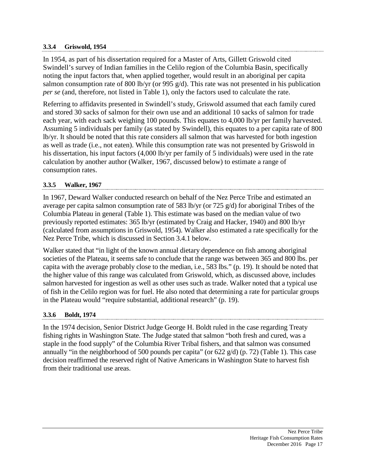#### **3.3.4 Griswold, 1954**

In 1954, as part of his dissertation required for a Master of Arts, Gillett Griswold cited Swindell's survey of Indian families in the Celilo region of the Columbia Basin, specifically noting the input factors that, when applied together, would result in an aboriginal per capita salmon consumption rate of 800 lb/yr (or 995 g/d). This rate was not presented in his publication *per se* (and, therefore, not listed in Table 1), only the factors used to calculate the rate.

Referring to affidavits presented in Swindell's study, Griswold assumed that each family cured and stored 30 sacks of salmon for their own use and an additional 10 sacks of salmon for trade each year, with each sack weighing 100 pounds. This equates to 4,000 lb/yr per family harvested. Assuming 5 individuals per family (as stated by Swindell), this equates to a per capita rate of 800 lb/yr. It should be noted that this rate considers all salmon that was harvested for both ingestion as well as trade (i.e., not eaten). While this consumption rate was not presented by Griswold in his dissertation, his input factors (4,000 lb/yr per family of 5 individuals) were used in the rate calculation by another author (Walker, 1967, discussed below) to estimate a range of consumption rates.

#### **3.3.5 Walker, 1967**

In 1967, Deward Walker conducted research on behalf of the Nez Perce Tribe and estimated an average per capita salmon consumption rate of 583 lb/yr (or 725 g/d) for aboriginal Tribes of the Columbia Plateau in general (Table 1). This estimate was based on the median value of two previously reported estimates: 365 lb/yr (estimated by Craig and Hacker, 1940) and 800 lb/yr (calculated from assumptions in Griswold, 1954). Walker also estimated a rate specifically for the Nez Perce Tribe, which is discussed in Section 3.4.1 below.

Walker stated that "in light of the known annual dietary dependence on fish among aboriginal societies of the Plateau, it seems safe to conclude that the range was between 365 and 800 lbs. per capita with the average probably close to the median, i.e., 583 lbs." (p. 19). It should be noted that the higher value of this range was calculated from Griswold, which, as discussed above, includes salmon harvested for ingestion as well as other uses such as trade. Walker noted that a typical use of fish in the Celilo region was for fuel. He also noted that determining a rate for particular groups in the Plateau would "require substantial, additional research" (p. 19).

#### **3.3.6 Boldt, 1974**

In the 1974 decision, Senior District Judge George H. Boldt ruled in the case regarding Treaty fishing rights in Washington State. The Judge stated that salmon "both fresh and cured, was a staple in the food supply" of the Columbia River Tribal fishers, and that salmon was consumed annually "in the neighborhood of 500 pounds per capita" (or 622 g/d) (p. 72) (Table 1). This case decision reaffirmed the reserved right of Native Americans in Washington State to harvest fish from their traditional use areas.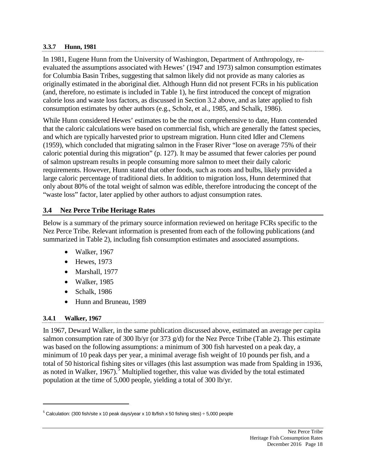#### **3.3.7 Hunn, 1981**

In 1981, Eugene Hunn from the University of Washington, Department of Anthropology, reevaluated the assumptions associated with Hewes' (1947 and 1973) salmon consumption estimates for Columbia Basin Tribes, suggesting that salmon likely did not provide as many calories as originally estimated in the aboriginal diet. Although Hunn did not present FCRs in his publication (and, therefore, no estimate is included in Table 1), he first introduced the concept of migration calorie loss and waste loss factors, as discussed in Section 3.2 above, and as later applied to fish consumption estimates by other authors (e.g., Scholz, et al., 1985, and Schalk, 1986).

While Hunn considered Hewes' estimates to be the most comprehensive to date, Hunn contended that the caloric calculations were based on commercial fish, which are generally the fattest species, and which are typically harvested prior to upstream migration. Hunn cited Idler and Clemens (1959), which concluded that migrating salmon in the Fraser River "lose on average 75% of their caloric potential during this migration" (p. 127). It may be assumed that fewer calories per pound of salmon upstream results in people consuming more salmon to meet their daily caloric requirements. However, Hunn stated that other foods, such as roots and bulbs, likely provided a large caloric percentage of traditional diets. In addition to migration loss, Hunn determined that only about 80% of the total weight of salmon was edible, therefore introducing the concept of the "waste loss" factor, later applied by other authors to adjust consumption rates.

#### **3.4 Nez Perce Tribe Heritage Rates**

Below is a summary of the primary source information reviewed on heritage FCRs specific to the Nez Perce Tribe. Relevant information is presented from each of the following publications (and summarized in Table 2), including fish consumption estimates and associated assumptions.

- Walker, 1967
- Hewes, 1973
- Marshall, 1977
- Walker, 1985
- Schalk, 1986
- Hunn and Bruneau, 1989

#### **3.4.1 Walker, 1967**

 $\overline{a}$ 

In 1967, Deward Walker, in the same publication discussed above, estimated an average per capita salmon consumption rate of 300 lb/yr (or 373 g/d) for the Nez Perce Tribe (Table 2). This estimate was based on the following assumptions: a minimum of 300 fish harvested on a peak day, a minimum of 10 peak days per year, a minimal average fish weight of 10 pounds per fish, and a total of 50 historical fishing sites or villages (this last assumption was made from Spalding in 1936, as noted in Walker, 1967).<sup>[5](#page-21-0)</sup> Multiplied together, this value was divided by the total estimated population at the time of 5,000 people, yielding a total of 300 lb/yr.

<span id="page-21-0"></span> $5$  Calculation: (300 fish/site x 10 peak days/year x 10 lb/fish x 50 fishing sites)  $\div$  5,000 people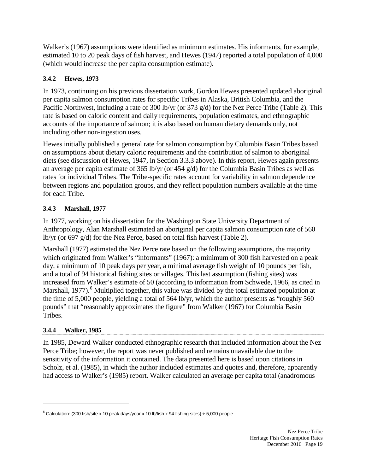Walker's (1967) assumptions were identified as minimum estimates. His informants, for example, estimated 10 to 20 peak days of fish harvest, and Hewes (1947) reported a total population of 4,000 (which would increase the per capita consumption estimate).

#### **3.4.2 Hewes, 1973**

In 1973, continuing on his previous dissertation work, Gordon Hewes presented updated aboriginal per capita salmon consumption rates for specific Tribes in Alaska, British Columbia, and the Pacific Northwest, including a rate of 300 lb/yr (or 373 g/d) for the Nez Perce Tribe (Table 2). This rate is based on caloric content and daily requirements, population estimates, and ethnographic accounts of the importance of salmon; it is also based on human dietary demands only, not including other non-ingestion uses.

Hewes initially published a general rate for salmon consumption by Columbia Basin Tribes based on assumptions about dietary caloric requirements and the contribution of salmon to aboriginal diets (see discussion of Hewes, 1947, in Section 3.3.3 above). In this report, Hewes again presents an average per capita estimate of 365 lb/yr (or 454 g/d) for the Columbia Basin Tribes as well as rates for individual Tribes. The Tribe-specific rates account for variability in salmon dependence between regions and population groups, and they reflect population numbers available at the time for each Tribe.

## **3.4.3 Marshall, 1977**

In 1977, working on his dissertation for the Washington State University Department of Anthropology, Alan Marshall estimated an aboriginal per capita salmon consumption rate of 560 lb/yr (or 697 g/d) for the Nez Perce, based on total fish harvest (Table 2).

Marshall (1977) estimated the Nez Perce rate based on the following assumptions, the majority which originated from Walker's "informants" (1967): a minimum of 300 fish harvested on a peak day, a minimum of 10 peak days per year, a minimal average fish weight of 10 pounds per fish, and a total of 94 historical fishing sites or villages. This last assumption (fishing sites) was increased from Walker's estimate of 50 (according to information from Schwede, 1966, as cited in Marshall, 1977).<sup>[6](#page-22-0)</sup> Multiplied together, this value was divided by the total estimated population at the time of 5,000 people, yielding a total of 564 lb/yr, which the author presents as "roughly 560 pounds" that "reasonably approximates the figure" from Walker (1967) for Columbia Basin Tribes.

#### **3.4.4 Walker, 1985**

 $\overline{a}$ 

In 1985, Deward Walker conducted ethnographic research that included information about the Nez Perce Tribe; however, the report was never published and remains unavailable due to the sensitivity of the information it contained. The data presented here is based upon citations in Scholz, et al. (1985), in which the author included estimates and quotes and, therefore, apparently had access to Walker's (1985) report. Walker calculated an average per capita total (anadromous

<span id="page-22-0"></span> $6$  Calculation: (300 fish/site x 10 peak days/year x 10 lb/fish x 94 fishing sites)  $\div$  5,000 people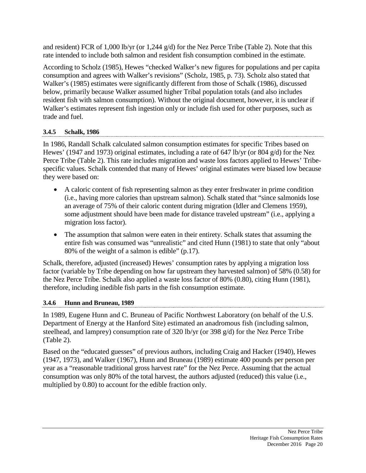and resident) FCR of 1,000 lb/yr (or 1,244  $g/d$ ) for the Nez Perce Tribe (Table 2). Note that this rate intended to include both salmon and resident fish consumption combined in the estimate.

According to Scholz (1985), Hewes "checked Walker's new figures for populations and per capita consumption and agrees with Walker's revisions" (Scholz, 1985, p. 73). Scholz also stated that Walker's (1985) estimates were significantly different from those of Schalk (1986), discussed below, primarily because Walker assumed higher Tribal population totals (and also includes resident fish with salmon consumption). Without the original document, however, it is unclear if Walker's estimates represent fish ingestion only or include fish used for other purposes, such as trade and fuel.

## **3.4.5 Schalk, 1986**

In 1986, Randall Schalk calculated salmon consumption estimates for specific Tribes based on Hewes' (1947 and 1973) original estimates, including a rate of 647 lb/yr (or 804 g/d) for the Nez Perce Tribe (Table 2). This rate includes migration and waste loss factors applied to Hewes' Tribespecific values. Schalk contended that many of Hewes' original estimates were biased low because they were based on:

- A caloric content of fish representing salmon as they enter freshwater in prime condition (i.e., having more calories than upstream salmon). Schalk stated that "since salmonids lose an average of 75% of their caloric content during migration (Idler and Clemens 1959), some adjustment should have been made for distance traveled upstream" (i.e., applying a migration loss factor).
- The assumption that salmon were eaten in their entirety. Schalk states that assuming the entire fish was consumed was "unrealistic" and cited Hunn (1981) to state that only "about 80% of the weight of a salmon is edible" (p.17).

Schalk, therefore, adjusted (increased) Hewes' consumption rates by applying a migration loss factor (variable by Tribe depending on how far upstream they harvested salmon) of 58% (0.58) for the Nez Perce Tribe. Schalk also applied a waste loss factor of 80% (0.80), citing Hunn (1981), therefore, including inedible fish parts in the fish consumption estimate.

## **3.4.6 Hunn and Bruneau, 1989**

In 1989, Eugene Hunn and C. Bruneau of Pacific Northwest Laboratory (on behalf of the U.S. Department of Energy at the Hanford Site) estimated an anadromous fish (including salmon, steelhead, and lamprey) consumption rate of 320 lb/yr (or 398 g/d) for the Nez Perce Tribe (Table 2).

Based on the "educated guesses" of previous authors, including Craig and Hacker (1940), Hewes (1947, 1973), and Walker (1967), Hunn and Bruneau (1989) estimate 400 pounds per person per year as a "reasonable traditional gross harvest rate" for the Nez Perce. Assuming that the actual consumption was only 80% of the total harvest, the authors adjusted (reduced) this value (i.e., multiplied by 0.80) to account for the edible fraction only.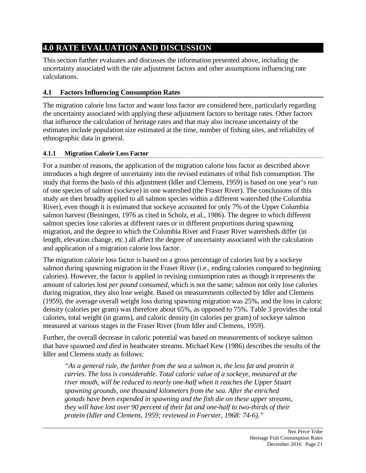## **4.0 RATE EVALUATION AND DISCUSSION**

This section further evaluates and discusses the information presented above, including the uncertainty associated with the rate adjustment factors and other assumptions influencing rate calculations.

## **4.1 Factors Influencing Consumption Rates**

The migration calorie loss factor and waste loss factor are considered here, particularly regarding the uncertainty associated with applying these adjustment factors to heritage rates. Other factors that influence the calculation of heritage rates and that may also increase uncertainty of the estimates include population size estimated at the time, number of fishing sites, and reliability of ethnographic data in general.

#### **4.1.1 Migration Calorie Loss Factor**

For a number of reasons, the application of the migration calorie loss factor as described above introduces a high degree of uncertainty into the revised estimates of tribal fish consumption. The study that forms the basis of this adjustment (Idler and Clemens, 1959) is based on one year's run of one species of salmon (sockeye) in one watershed (the Fraser River). The conclusions of this study are then broadly applied to all salmon species within a different watershed (the Columbia River), even though it is estimated that sockeye accounted for only 7% of the Upper Columbia salmon harvest (Beiningen, 1976 as cited in Scholz, et al., 1986). The degree to which different salmon species lose calories at different rates or in different proportions during spawning migration, and the degree to which the Columbia River and Fraser River watersheds differ (in length, elevation change, etc.) all affect the degree of uncertainty associated with the calculation and application of a migration calorie loss factor.

The migration calorie loss factor is based on a gross percentage of calories lost by a sockeye salmon during spawning migration in the Fraser River (i.e., ending calories compared to beginning calories). However, the factor is applied in revising consumption rates as though it represents the amount of calories lost *per pound consumed*, which is not the same; salmon not only lose calories during migration, they also lose weight. Based on measurements collected by Idler and Clemens (1959), the average overall weight loss during spawning migration was 25%, and the loss in caloric density (calories per gram) was therefore about 65%, as opposed to 75%. Table 3 provides the total calories, total weight (in grams), and caloric density (in calories per gram) of sockeye salmon measured at various stages in the Fraser River (from Idler and Clemens, 1959).

Further, the overall decrease in caloric potential was based on measurements of sockeye salmon that have spawned *and died* in headwater streams. Michael Kew (1986) describes the results of the Idler and Clemens study as follows:

*"As a general rule, the further from the sea a salmon is, the less fat and protein it carries. The loss is considerable. Total caloric value of a sockeye, measured at the river mouth, will be reduced to nearly one-half when it reaches the Upper Stuart spawning grounds, one thousand kilometers from the sea. After the enriched gonads have been expended in spawning and the fish die on these upper streams, they will have lost over 90 percent of their fat and one-half to two-thirds of their protein (Idler and Clemens, 1959; reviewed in Foerster, 1968: 74-6)."*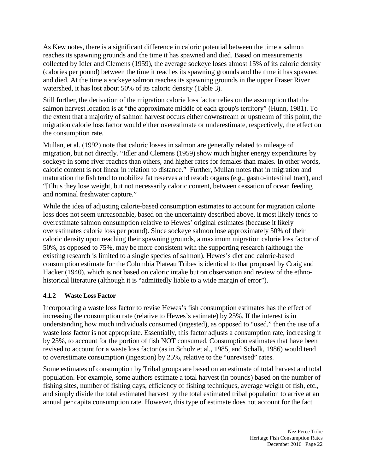As Kew notes, there is a significant difference in caloric potential between the time a salmon reaches its spawning grounds and the time it has spawned and died. Based on measurements collected by Idler and Clemens (1959), the average sockeye loses almost 15% of its caloric density (calories per pound) between the time it reaches its spawning grounds and the time it has spawned and died. At the time a sockeye salmon reaches its spawning grounds in the upper Fraser River watershed, it has lost about 50% of its caloric density (Table 3).

Still further, the derivation of the migration calorie loss factor relies on the assumption that the salmon harvest location is at "the approximate middle of each group's territory" (Hunn, 1981). To the extent that a majority of salmon harvest occurs either downstream or upstream of this point, the migration calorie loss factor would either overestimate or underestimate, respectively, the effect on the consumption rate.

Mullan, et al. (1992) note that caloric losses in salmon are generally related to mileage of migration, but not directly. "Idler and Clemens (1959) show much higher energy expenditures by sockeye in some river reaches than others, and higher rates for females than males. In other words, caloric content is not linear in relation to distance." Further, Mullan notes that in migration and maturation the fish tend to mobilize fat reserves and resorb organs (e.g., gastro-intestinal tract), and "[t]hus they lose weight, but not necessarily caloric content, between cessation of ocean feeding and nominal freshwater capture."

While the idea of adjusting calorie-based consumption estimates to account for migration calorie loss does not seem unreasonable, based on the uncertainty described above, it most likely tends to overestimate salmon consumption relative to Hewes' original estimates (because it likely overestimates calorie loss per pound). Since sockeye salmon lose approximately 50% of their caloric density upon reaching their spawning grounds, a maximum migration calorie loss factor of 50%, as opposed to 75%, may be more consistent with the supporting research (although the existing research is limited to a single species of salmon). Hewes's diet and calorie-based consumption estimate for the Columbia Plateau Tribes is identical to that proposed by Craig and Hacker (1940), which is not based on caloric intake but on observation and review of the ethnohistorical literature (although it is "admittedly liable to a wide margin of error").

#### **4.1.2 Waste Loss Factor**

Incorporating a waste loss factor to revise Hewes's fish consumption estimates has the effect of increasing the consumption rate (relative to Hewes's estimate) by 25%. If the interest is in understanding how much individuals consumed (ingested), as opposed to "used," then the use of a waste loss factor is not appropriate. Essentially, this factor adjusts a consumption rate, increasing it by 25%, to account for the portion of fish NOT consumed. Consumption estimates that have been revised to account for a waste loss factor (as in Scholz et al., 1985, and Schalk, 1986) would tend to overestimate consumption (ingestion) by 25%, relative to the "unrevised" rates.

Some estimates of consumption by Tribal groups are based on an estimate of total harvest and total population. For example, some authors estimate a total harvest (in pounds) based on the number of fishing sites, number of fishing days, efficiency of fishing techniques, average weight of fish, etc., and simply divide the total estimated harvest by the total estimated tribal population to arrive at an annual per capita consumption rate. However, this type of estimate does not account for the fact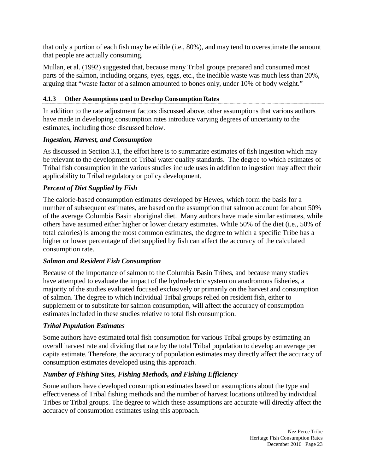that only a portion of each fish may be edible (i.e., 80%), and may tend to overestimate the amount that people are actually consuming.

Mullan, et al. (1992) suggested that, because many Tribal groups prepared and consumed most parts of the salmon, including organs, eyes, eggs, etc., the inedible waste was much less than 20%, arguing that "waste factor of a salmon amounted to bones only, under 10% of body weight."

## **4.1.3 Other Assumptions used to Develop Consumption Rates**

In addition to the rate adjustment factors discussed above, other assumptions that various authors have made in developing consumption rates introduce varying degrees of uncertainty to the estimates, including those discussed below.

## *Ingestion, Harvest, and Consumption*

As discussed in Section 3.1, the effort here is to summarize estimates of fish ingestion which may be relevant to the development of Tribal water quality standards. The degree to which estimates of Tribal fish consumption in the various studies include uses in addition to ingestion may affect their applicability to Tribal regulatory or policy development.

## *Percent of Diet Supplied by Fish*

The calorie-based consumption estimates developed by Hewes, which form the basis for a number of subsequent estimates, are based on the assumption that salmon account for about 50% of the average Columbia Basin aboriginal diet. Many authors have made similar estimates, while others have assumed either higher or lower dietary estimates. While 50% of the diet (i.e., 50% of total calories) is among the most common estimates, the degree to which a specific Tribe has a higher or lower percentage of diet supplied by fish can affect the accuracy of the calculated consumption rate.

## *Salmon and Resident Fish Consumption*

Because of the importance of salmon to the Columbia Basin Tribes, and because many studies have attempted to evaluate the impact of the hydroelectric system on anadromous fisheries, a majority of the studies evaluated focused exclusively or primarily on the harvest and consumption of salmon. The degree to which individual Tribal groups relied on resident fish, either to supplement or to substitute for salmon consumption, will affect the accuracy of consumption estimates included in these studies relative to total fish consumption.

## *Tribal Population Estimates*

Some authors have estimated total fish consumption for various Tribal groups by estimating an overall harvest rate and dividing that rate by the total Tribal population to develop an average per capita estimate. Therefore, the accuracy of population estimates may directly affect the accuracy of consumption estimates developed using this approach.

## *Number of Fishing Sites, Fishing Methods, and Fishing Efficiency*

Some authors have developed consumption estimates based on assumptions about the type and effectiveness of Tribal fishing methods and the number of harvest locations utilized by individual Tribes or Tribal groups. The degree to which these assumptions are accurate will directly affect the accuracy of consumption estimates using this approach.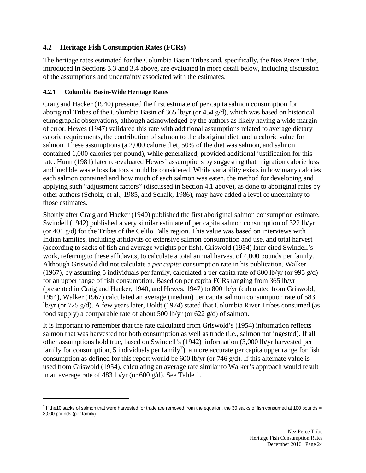#### **4.2 Heritage Fish Consumption Rates (FCRs)**

The heritage rates estimated for the Columbia Basin Tribes and, specifically, the Nez Perce Tribe, introduced in Sections 3.3 and 3.4 above, are evaluated in more detail below, including discussion of the assumptions and uncertainty associated with the estimates.

#### **4.2.1 Columbia Basin-Wide Heritage Rates**

 $\overline{a}$ 

Craig and Hacker (1940) presented the first estimate of per capita salmon consumption for aboriginal Tribes of the Columbia Basin of 365 lb/yr (or 454 g/d), which was based on historical ethnographic observations, although acknowledged by the authors as likely having a wide margin of error. Hewes (1947) validated this rate with additional assumptions related to average dietary caloric requirements, the contribution of salmon to the aboriginal diet, and a caloric value for salmon. These assumptions (a 2,000 calorie diet, 50% of the diet was salmon, and salmon contained 1,000 calories per pound), while generalized, provided additional justification for this rate. Hunn (1981) later re-evaluated Hewes' assumptions by suggesting that migration calorie loss and inedible waste loss factors should be considered. While variability exists in how many calories each salmon contained and how much of each salmon was eaten, the method for developing and applying such "adjustment factors" (discussed in Section 4.1 above), as done to aboriginal rates by other authors (Scholz, et al., 1985, and Schalk, 1986), may have added a level of uncertainty to those estimates.

Shortly after Craig and Hacker (1940) published the first aboriginal salmon consumption estimate, Swindell (1942) published a very similar estimate of per capita salmon consumption of 322 lb/yr (or 401 g/d) for the Tribes of the Celilo Falls region. This value was based on interviews with Indian families, including affidavits of extensive salmon consumption and use, and total harvest (according to sacks of fish and average weights per fish). Griswold (1954) later cited Swindell's work, referring to these affidavits, to calculate a total annual harvest of 4,000 pounds per family. Although Griswold did not calculate a *per capita* consumption rate in his publication, Walker (1967), by assuming 5 individuals per family, calculated a per capita rate of 800 lb/yr (or 995 g/d) for an upper range of fish consumption. Based on per capita FCRs ranging from 365 lb/yr (presented in Craig and Hacker, 1940, and Hewes, 1947) to 800 lb/yr (calculated from Griswold, 1954), Walker (1967) calculated an average (median) per capita salmon consumption rate of 583 lb/yr (or 725 g/d). A few years later, Boldt (1974) stated that Columbia River Tribes consumed (as food supply) a comparable rate of about 500 lb/yr (or 622 g/d) of salmon.

It is important to remember that the rate calculated from Griswold's (1954) information reflects salmon that was harvested for both consumption as well as trade (i.e., salmon not ingested). If all other assumptions hold true, based on Swindell's (1942) information (3,000 lb/yr harvested per family for consumption, 5 individuals per family<sup>[7](#page-27-0)</sup>), a more accurate per capita upper range for fish consumption as defined for this report would be 600 lb/yr (or 746  $g/d$ ). If this alternate value is used from Griswold (1954), calculating an average rate similar to Walker's approach would result in an average rate of 483 lb/yr (or 600 g/d). See Table 1.

<span id="page-27-0"></span> $7$  If the10 sacks of salmon that were harvested for trade are removed from the equation, the 30 sacks of fish consumed at 100 pounds = 3,000 pounds (per family).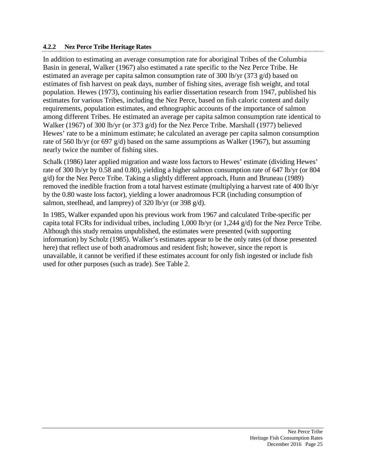#### **4.2.2 Nez Perce Tribe Heritage Rates**

In addition to estimating an average consumption rate for aboriginal Tribes of the Columbia Basin in general, Walker (1967) also estimated a rate specific to the Nez Perce Tribe. He estimated an average per capita salmon consumption rate of 300 lb/yr (373 g/d) based on estimates of fish harvest on peak days, number of fishing sites, average fish weight, and total population. Hewes (1973), continuing his earlier dissertation research from 1947, published his estimates for various Tribes, including the Nez Perce, based on fish caloric content and daily requirements, population estimates, and ethnographic accounts of the importance of salmon among different Tribes. He estimated an average per capita salmon consumption rate identical to Walker (1967) of 300 lb/yr (or 373 g/d) for the Nez Perce Tribe. Marshall (1977) believed Hewes' rate to be a minimum estimate; he calculated an average per capita salmon consumption rate of 560 lb/yr (or 697 g/d) based on the same assumptions as Walker (1967), but assuming nearly twice the number of fishing sites.

Schalk (1986) later applied migration and waste loss factors to Hewes' estimate (dividing Hewes' rate of 300 lb/yr by 0.58 and 0.80), yielding a higher salmon consumption rate of 647 lb/yr (or 804 g/d) for the Nez Perce Tribe. Taking a slightly different approach, Hunn and Bruneau (1989) removed the inedible fraction from a total harvest estimate (multiplying a harvest rate of 400 lb/yr by the 0.80 waste loss factor), yielding a lower anadromous FCR (including consumption of salmon, steelhead, and lamprey) of 320 lb/yr (or 398 g/d).

In 1985, Walker expanded upon his previous work from 1967 and calculated Tribe-specific per capita total FCRs for individual tribes, including 1,000 lb/yr (or 1,244 g/d) for the Nez Perce Tribe. Although this study remains unpublished, the estimates were presented (with supporting information) by Scholz (1985). Walker's estimates appear to be the only rates (of those presented here) that reflect use of both anadromous and resident fish; however, since the report is unavailable, it cannot be verified if these estimates account for only fish ingested or include fish used for other purposes (such as trade). See Table 2.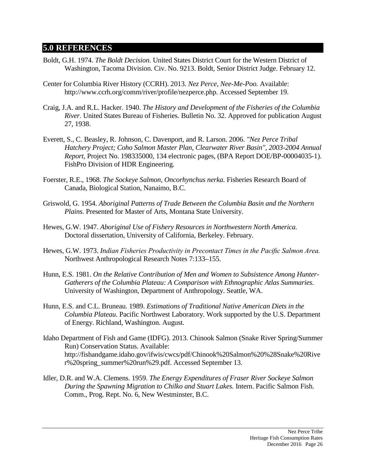## **5.0 REFERENCES**

- Boldt, G.H. 1974. *The Boldt Decision.* United States District Court for the Western District of Washington, Tacoma Division. Civ. No. 9213. Boldt, Senior District Judge. February 12.
- Center for Columbia River History (CCRH). 2013. *Nez Perce, Nee-Me-Poo.* Available: http://www.ccrh.org/comm/river/profile/nezperce.php. Accessed September 19.
- Craig, J.A. and R.L. Hacker. 1940. *The History and Development of the Fisheries of the Columbia River.* United States Bureau of Fisheries. Bulletin No. 32. Approved for publication August 27, 1938.
- Everett, S., C. Beasley, R. Johnson, C. Davenport, and R. Larson. 2006. *"Nez Perce Tribal Hatchery Project; Coho Salmon Master Plan, Clearwater River Basin", 2003-2004 Annual Report,* Project No. 198335000, 134 electronic pages, (BPA Report DOE/BP-00004035-1). FishPro Division of HDR Engineering.
- Foerster, R.E., 1968. *The Sockeye Salmon, Oncorhynchus nerka.* Fisheries Research Board of Canada, Biological Station, Nanaimo, B.C.
- Griswold, G. 1954. *Aboriginal Patterns of Trade Between the Columbia Basin and the Northern Plains.* Presented for Master of Arts, Montana State University.
- Hewes, G.W. 1947. *Aboriginal Use of Fishery Resources in Northwestern North America.* Doctoral dissertation, University of California, Berkeley. February.
- Hewes, G.W. 1973. *Indian Fisheries Productivity in Precontact Times in the Pacific Salmon Area.* Northwest Anthropological Research Notes 7:133–155.
- Hunn, E.S. 1981. *On the Relative Contribution of Men and Women to Subsistence Among Hunter-Gatherers of the Columbia Plateau: A Comparison with Ethnographic Atlas Summaries.* University of Washington, Department of Anthropology. Seattle, WA.
- Hunn, E.S. and C.L. Bruneau. 1989. *Estimations of Traditional Native American Diets in the Columbia Plateau.* Pacific Northwest Laboratory. Work supported by the U.S. Department of Energy. Richland, Washington. August.
- Idaho Department of Fish and Game (IDFG). 2013. Chinook Salmon (Snake River Spring/Summer Run) Conservation Status. Available: http://fishandgame.idaho.gov/ifwis/cwcs/pdf/Chinook%20Salmon%20%28Snake%20Rive r%20spring\_summer%20run%29.pdf. Accessed September 13.
- Idler, D.R. and W.A. Clemens. 1959. *The Energy Expenditures of Fraser River Sockeye Salmon During the Spawning Migration to Chilko and Stuart Lakes.* Intern. Pacific Salmon Fish. Comm., Prog. Rept. No. 6, New Westminster, B.C.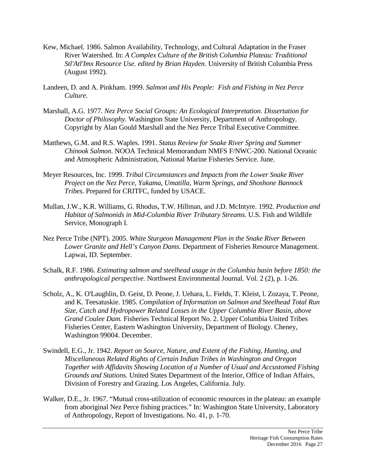- Kew, Michael. 1986. [Salmon Availability, Technology, and Cultural Adaptation in the Fraser](http://books.google.com/books?hl=en&lr=&id=aPIEjEZUEUQC&oi=fnd&pg=PA177&dq=Salmon+abundance+technology+and+Human+Populations++fraser+river+kew&ots=kYHNVecha3&sig=ePUDTtYip8DxCjJ7jiuACtkPS7k)  [River Watershed.](http://books.google.com/books?hl=en&lr=&id=aPIEjEZUEUQC&oi=fnd&pg=PA177&dq=Salmon+abundance+technology+and+Human+Populations++fraser+river+kew&ots=kYHNVecha3&sig=ePUDTtYip8DxCjJ7jiuACtkPS7k) In: *A Complex Culture of the British Columbia Plateau: Traditional Stl'Atl'Imx Resource Use. edited by Brian Hayden.* University of British Columbia Press (August 1992).
- Landeen, D. and A. Pinkham. 1999. *Salmon and His People: Fish and Fishing in Nez Perce Culture.*
- Marshall, A.G. 1977. *Nez Perce Social Groups: An Ecological Interpretation. Dissertation for Doctor of Philosophy.* Washington State University, Department of Anthropology. Copyright by Alan Gould Marshall and the Nez Perce Tribal Executive Committee.
- Matthews, G.M. and R.S. Waples. 1991. *Status Review for Snake River Spring and Summer Chinook Salmon*. NOOA Technical Memorandum NMFS F/NWC-200. National Oceanic and Atmospheric Administration, National Marine Fisheries Service. June.
- Meyer Resources, Inc. 1999. *Tribal Circumstances and Impacts from the Lower Snake River Project on the Nez Perce, Yakama, Umatilla, Warm Springs, and Shoshone Bannock Tribes.* Prepared for CRITFC, funded by USACE.
- Mullan, J.W., K.R. Williams, G. Rhodus, T.W. Hillman, and J.D. McIntyre. 1992. *Production and Habitat of Salmonids in Mid-Columbia River Tributary Streams.* U.S. Fish and Wildlife Service, Monograph I.
- Nez Perce Tribe (NPT). 2005. *White Sturgeon Management Plan in the Snake River Between Lower Granite and Hell's Canyon Dams.* Department of Fisheries Resource Management. Lapwai, ID. September.
- Schalk, R.F. 1986. *Estimating salmon and steelhead usage in the Columbia basin before 1850: the anthropological perspective.* Northwest Environmental Journal. Vol. 2 (2), p. 1-26.
- Scholz, A., K. O'Laughlin, D. Geist, D. Peone, J. Uehara, L. Fields, T. Kleist, l. Zozaya, T. Peone, and K. Teesatuskie. 1985. *Compilation of Information on Salmon and Steelhead Total Run Size, Catch and Hydropower Related Losses in the Upper Columbia River Basin, above Grand Coulee Dam.* Fisheries Technical Report No. 2. Upper Columbia United Tribes Fisheries Center, Eastern Washington University, Department of Biology. Cheney, Washington 99004. December.
- Swindell, E.G., Jr. 1942. *Report on Source, Nature, and Extent of the Fishing, Hunting, and Miscellaneous Related Rights of Certain Indian Tribes in Washington and Oregon Together with Affidavits Showing Location of a Number of Usual and Accustomed Fishing Grounds and Stations.* United States Department of the Interior, Office of Indian Affairs, Division of Forestry and Grazing. Los Angeles, California. July.
- Walker, D.E., Jr. 1967. "Mutual cross-utilization of economic resources in the plateau: an example from aboriginal Nez Perce fishing practices." In: Washington State University, Laboratory of Anthropology, Report of Investigations. No. 41, p. 1-70.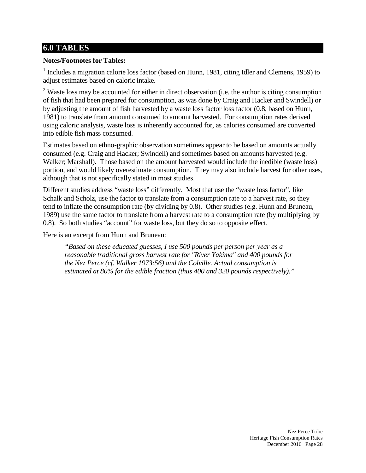## **6.0 TABLES**

#### **Notes/Footnotes for Tables:**

<sup>1</sup> Includes a migration calorie loss factor (based on Hunn, 1981, citing Idler and Clemens, 1959) to adjust estimates based on caloric intake.

 $2$  Waste loss may be accounted for either in direct observation (i.e. the author is citing consumption of fish that had been prepared for consumption, as was done by Craig and Hacker and Swindell) or by adjusting the amount of fish harvested by a waste loss factor loss factor (0.8, based on Hunn, 1981) to translate from amount consumed to amount harvested. For consumption rates derived using caloric analysis, waste loss is inherently accounted for, as calories consumed are converted into edible fish mass consumed.

Estimates based on ethno-graphic observation sometimes appear to be based on amounts actually consumed (e.g. Craig and Hacker; Swindell) and sometimes based on amounts harvested (e.g. Walker; Marshall). Those based on the amount harvested would include the inedible (waste loss) portion, and would likely overestimate consumption. They may also include harvest for other uses, although that is not specifically stated in most studies.

Different studies address "waste loss" differently. Most that use the "waste loss factor", like Schalk and Scholz, use the factor to translate from a consumption rate to a harvest rate, so they tend to inflate the consumption rate (by dividing by 0.8). Other studies (e.g. Hunn and Bruneau, 1989) use the same factor to translate from a harvest rate to a consumption rate (by multiplying by 0.8). So both studies "account" for waste loss, but they do so to opposite effect.

Here is an excerpt from Hunn and Bruneau:

*"Based on these educated guesses, I use 500 pounds per person per year as a reasonable traditional gross harvest rate for "River Yakima" and 400 pounds for the Nez Perce (cf. Walker 1973:56) and the Colville. Actual consumption is estimated at 80% for the edible fraction (thus 400 and 320 pounds respectively)."*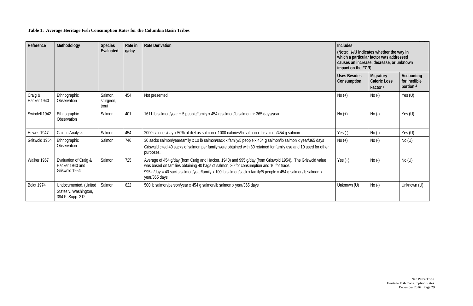## **Table 1: Average Heritage Fish Consumption Rates for the Columbia Basin Tribes**

| Reference<br>Methodology |                                                                    | <b>Species</b><br>Rate in<br>Evaluated<br>g/day |     | <b>Rate Derivation</b>                                                                                                                                                                                                                                                                                                             |                                    | <b>Includes</b><br>(Note: +/-/U indicates whether the way in<br>which a particular factor was addressed<br>causes an increase, decrease, or unknown<br>impact on the FCR) |                                                    |  |
|--------------------------|--------------------------------------------------------------------|-------------------------------------------------|-----|------------------------------------------------------------------------------------------------------------------------------------------------------------------------------------------------------------------------------------------------------------------------------------------------------------------------------------|------------------------------------|---------------------------------------------------------------------------------------------------------------------------------------------------------------------------|----------------------------------------------------|--|
|                          |                                                                    |                                                 |     |                                                                                                                                                                                                                                                                                                                                    | <b>Uses Besides</b><br>Consumption | Migratory<br><b>Caloric Loss</b><br>Factor <sup>1</sup>                                                                                                                   | Accounting<br>for inedible<br>portion <sup>2</sup> |  |
| Craig &<br>Hacker 1940   | Ethnographic<br>Observation                                        | Salmon,<br>sturgeon,<br>trout                   | 454 | Not presented                                                                                                                                                                                                                                                                                                                      | $No (+)$                           | $No(-)$                                                                                                                                                                   | Yes $(U)$                                          |  |
| Swindell 1942            | Ethnographic<br>Observation                                        | Salmon                                          | 401 | 1611 lb salmon/year $\div$ 5 people/family x 454 g salmon/lb salmon $\div$ 365 days/year                                                                                                                                                                                                                                           | $No (+)$                           | $No(-)$                                                                                                                                                                   | Yes $(U)$                                          |  |
| Hewes 1947               | Caloric Analysis                                                   | Salmon                                          | 454 | 2000 calories/day x 50% of diet as salmon x 1000 calories/lb salmon x lb salmon/454 g salmon                                                                                                                                                                                                                                       | Yes $(-)$                          | $No(-)$                                                                                                                                                                   | Yes $(U)$                                          |  |
| Griswold 1954            | Ethnographic<br>Observation                                        | Salmon                                          | 746 | 30 sacks salmon/year/family x 10 lb salmon/sack x family/5 people x 454 g salmon/lb salmon x year/365 days<br>Griswald cited 40 sacks of salmon per family were obtained with 30 retained for family use and 10 used for other<br>purposes.                                                                                        | $No (+)$                           | $No(-)$                                                                                                                                                                   | No(U)                                              |  |
| Walker 1967              | Evaluation of Craig &<br>Hacker 1940 and<br>Griswold 1954          | Salmon                                          | 725 | Average of 454 g/day (from Craig and Hacker, 1940) and 995 g/day (from Griswold 1954). The Griswold value<br>was based on families obtaining 40 bags of salmon, 30 for consumption and 10 for trade.<br>995 g/day = 40 sacks salmon/year/family x 100 lb salmon/sack x family/5 people x 454 g salmon/lb salmon x<br>year/365 days | Yes $(+)$                          | $No(-)$                                                                                                                                                                   | No(U)                                              |  |
| <b>Boldt 1974</b>        | Undocumented, (United<br>States v. Washington,<br>384 F. Supp. 312 | Salmon                                          | 622 | 500 lb salmon/person/year x 454 g salmon/lb salmon x year/365 days                                                                                                                                                                                                                                                                 | Unknown (U)                        | $No(-)$                                                                                                                                                                   | Unknown (U)                                        |  |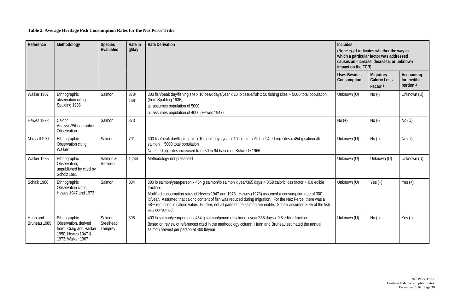## **Table 2. Average Heritage Fish Consumption Rates for the Nez Perce Tribe**

| Reference                | Methodology                                                                                               | <b>Species</b><br>Evaluated      | Rate in<br>g/day | <b>Rate Derivation</b>                                                                                                                                                                                                                                                                                                                                                                                                                                                         | <b>Includes</b><br>(Note: +/-/U indicates whether the way in<br>which a particular factor was addressed<br>causes an increase, decrease, or unknown<br>impact on the FCR) |                                                         |                                                           |  |
|--------------------------|-----------------------------------------------------------------------------------------------------------|----------------------------------|------------------|--------------------------------------------------------------------------------------------------------------------------------------------------------------------------------------------------------------------------------------------------------------------------------------------------------------------------------------------------------------------------------------------------------------------------------------------------------------------------------|---------------------------------------------------------------------------------------------------------------------------------------------------------------------------|---------------------------------------------------------|-----------------------------------------------------------|--|
|                          |                                                                                                           |                                  |                  |                                                                                                                                                                                                                                                                                                                                                                                                                                                                                | <b>Uses Besides</b><br>Consumption                                                                                                                                        | Migratory<br><b>Caloric Loss</b><br>Factor <sup>1</sup> | <b>Accounting</b><br>for inedible<br>portion <sup>2</sup> |  |
| Walker 1967              | Ethnographic<br>observation citing<br>Spalding 1936                                                       | Salmon                           | 373a<br>466b     | 300 fish/peak day/fishing site x 10 peak days/year x 10 lb tissue/fish x 50 fishing sites ÷ 5000 total population<br>(from Spalding 1936)<br>a: assumes population of 5000<br>b: assumes population of 4000 (Hewes 1947)                                                                                                                                                                                                                                                       | Unknown (U)                                                                                                                                                               | $No (-)$                                                | Unknown (U)                                               |  |
| Hewes 1973               | Caloric<br>Analysis/Ethnographic<br>Observation                                                           | Salmon                           | 373              |                                                                                                                                                                                                                                                                                                                                                                                                                                                                                | $No (+)$                                                                                                                                                                  | $No(-)$                                                 | No(U)                                                     |  |
| Marshall 1977            | Ethnographic<br>Observation citing<br>Walker                                                              | Salmon                           | 701              | 300 fish/peak day/fishing site x 10 peak days/year x 10 lb salmon/fish x 94 fishing sites x 454 g salmon/lb<br>salmon $\div$ 5000 total population<br>Note: fishing sites increased from 50 to 94 based on Schwede 1966                                                                                                                                                                                                                                                        | Unknown (U)                                                                                                                                                               | $No (-)$                                                | No(U)                                                     |  |
| Walker 1985              | Ethnographic<br>Observation,<br>unpublished by cited by<br>Scholz 1985                                    | Salmon &<br>Resident             | 1,244            | Methodology not presented                                                                                                                                                                                                                                                                                                                                                                                                                                                      | Unknown (U)                                                                                                                                                               | Unknown (U)                                             | Unknown (U)                                               |  |
| Schalk 1986              | Ethnographic<br>Observation citing<br>Hewes 1947 and 1973                                                 | Salmon                           | 804              | 300 lb salmon/year/person x 454 g salmon/lb salmon x year/365 days ÷ 0.58 caloric loss factor ÷ 0.8 edible<br>fraction.<br>Modified consumption rates of Hewes 1947 and 1973. Hewes (1973) assumed a consumption rate of 300<br>Ib/year. Assumed that caloric content of fish was reduced during migration. For the Nez Perce, there was a<br>58% reduction in caloric value. Further, not all parts of the salmon are edible. Schalk assumed 80% of the fish<br>was consumed. | Unknown (U)                                                                                                                                                               | Yes $(+)$                                               | Yes $(+)$                                                 |  |
| Hunn and<br>Bruneau 1989 | Ethnographic<br>Observation, derived<br>from: Craig and Hacker<br>1950; Hewes 1947 &<br>1973; Walker 1967 | Salmon,<br>Steelhead,<br>Lamprey | 398              | 400 lb salmon/year/person x 454 g salmon/pound of salmon x year/365 days x 0.8 edible fraction<br>Based on review of references cited in the methodology column, Hunn and Bruneau estimated the annual<br>salmon harvest per person at 400 lb/year                                                                                                                                                                                                                             | Unknown (U)                                                                                                                                                               | $No(-)$                                                 | Yes $(-)$                                                 |  |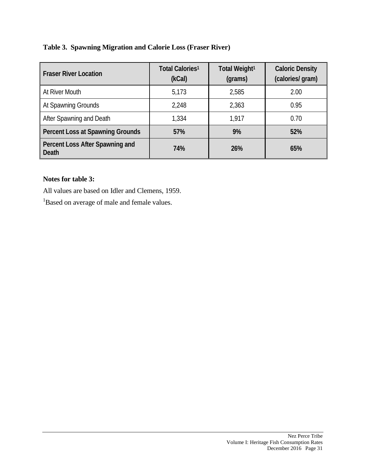|  |  |  |  | Table 3. Spawning Migration and Calorie Loss (Fraser River) |  |
|--|--|--|--|-------------------------------------------------------------|--|
|--|--|--|--|-------------------------------------------------------------|--|

| <b>Fraser River Location</b>                    | Total Calories <sup>1</sup><br>(kCal) | Total Weight <sup>1</sup><br>(grams) | <b>Caloric Density</b><br>(calories/ gram) |
|-------------------------------------------------|---------------------------------------|--------------------------------------|--------------------------------------------|
| At River Mouth                                  | 5,173                                 | 2,585                                | 2.00                                       |
| At Spawning Grounds                             | 2,248                                 | 2,363                                | 0.95                                       |
| After Spawning and Death                        | 1,334                                 | 1.917                                | 0.70                                       |
| <b>Percent Loss at Spawning Grounds</b>         | 57%                                   | 9%                                   | 52%                                        |
| Percent Loss After Spawning and<br><b>Death</b> | 74%                                   | <b>26%</b>                           | 65%                                        |

#### **Notes for table 3:**

All values are based on Idler and Clemens, 1959.

<sup>1</sup>Based on average of male and female values.